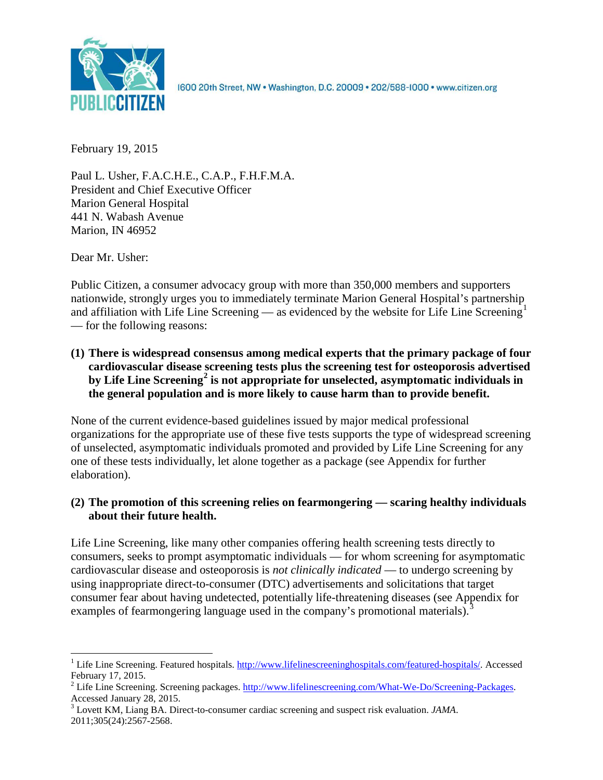

1600 20th Street, NW . Washington, D.C. 20009 . 202/588-1000 . www.citizen.org

February 19, 2015

Paul L. Usher, F.A.C.H.E., C.A.P., F.H.F.M.A. President and Chief Executive Officer Marion General Hospital 441 N. Wabash Avenue Marion, IN 46952

Dear Mr. Usher:

Public Citizen, a consumer advocacy group with more than 350,000 members and supporters nationwide, strongly urges you to immediately terminate Marion General Hospital's partnership and affiliation with Life Line Screening — as evidenced by the website for Life Line Screening<sup>[1](#page-0-0)</sup> — for the following reasons:

**(1) There is widespread consensus among medical experts that the primary package of four cardiovascular disease screening tests plus the screening test for osteoporosis advertised by Life Line Screening[2](#page-0-1) is not appropriate for unselected, asymptomatic individuals in the general population and is more likely to cause harm than to provide benefit.**

None of the current evidence-based guidelines issued by major medical professional organizations for the appropriate use of these five tests supports the type of widespread screening of unselected, asymptomatic individuals promoted and provided by Life Line Screening for any one of these tests individually, let alone together as a package (see Appendix for further elaboration).

# **(2) The promotion of this screening relies on fearmongering — scaring healthy individuals about their future health.**

Life Line Screening, like many other companies offering health screening tests directly to consumers, seeks to prompt asymptomatic individuals — for whom screening for asymptomatic cardiovascular disease and osteoporosis is *not clinically indicated* — to undergo screening by using inappropriate direct-to-consumer (DTC) advertisements and solicitations that target consumer fear about having undetected, potentially life-threatening diseases (see Appendix for examples of fearmongering language used in the company's promotional materials).<sup>[3](#page-0-2)</sup>

<span id="page-0-0"></span><sup>&</sup>lt;sup>1</sup> Life Line Screening. Featured hospitals. [http://www.lifelinescreeninghospitals.com/featured-hospitals/.](http://www.lifelinescreeninghospitals.com/featured-hospitals/) Accessed

<span id="page-0-1"></span>February 17, 2015.<br><sup>2</sup> Life Line Screening. Screening packages. [http://www.lifelinescreening.com/What-We-Do/Screening-Packages.](http://www.lifelinescreening.com/What-We-Do/Screening-Packages)<br>Accessed January 28, 2015.

<span id="page-0-2"></span><sup>&</sup>lt;sup>3</sup> Lovett KM, Liang BA. Direct-to-consumer cardiac screening and suspect risk evaluation. *JAMA*. 2011;305(24):2567-2568.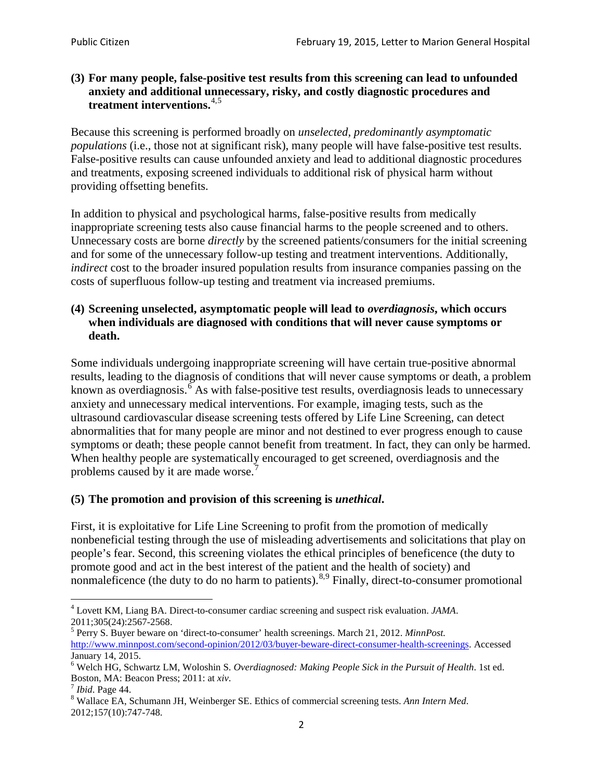## **(3) For many people, false-positive test results from this screening can lead to unfounded anxiety and additional unnecessary, risky, and costly diagnostic procedures and treatment interventions.**[4](#page-1-0),[5](#page-1-1)

Because this screening is performed broadly on *unselected, predominantly asymptomatic populations* (i.e., those not at significant risk), many people will have false**-**positive test results. False-positive results can cause unfounded anxiety and lead to additional diagnostic procedures and treatments, exposing screened individuals to additional risk of physical harm without providing offsetting benefits.

In addition to physical and psychological harms, false-positive results from medically inappropriate screening tests also cause financial harms to the people screened and to others. Unnecessary costs are borne *directly* by the screened patients/consumers for the initial screening and for some of the unnecessary follow-up testing and treatment interventions. Additionally, *indirect* cost to the broader insured population results from insurance companies passing on the costs of superfluous follow-up testing and treatment via increased premiums.

## **(4) Screening unselected, asymptomatic people will lead to** *overdiagnosis***, which occurs when individuals are diagnosed with conditions that will never cause symptoms or death.**

Some individuals undergoing inappropriate screening will have certain true-positive abnormal results, leading to the diagnosis of conditions that will never cause symptoms or death, a problem known as overdiagnosis.<sup>[6](#page-1-2)</sup> As with false-positive test results, overdiagnosis leads to unnecessary anxiety and unnecessary medical interventions. For example, imaging tests, such as the ultrasound cardiovascular disease screening tests offered by Life Line Screening, can detect abnormalities that for many people are minor and not destined to ever progress enough to cause symptoms or death; these people cannot benefit from treatment. In fact, they can only be harmed. When healthy people are systematically encouraged to get screened, overdiagnosis and the problems caused by it are made worse.<sup>[7](#page-1-3)</sup>

# **(5) The promotion and provision of this screening is** *unethical***.**

First, it is exploitative for Life Line Screening to profit from the promotion of medically nonbeneficial testing through the use of misleading advertisements and solicitations that play on people's fear. Second, this screening violates the ethical principles of beneficence (the duty to promote good and act in the best interest of the patient and the health of society) and nonmaleficence (the duty to do no harm to patients).  $8.9$  $8.9$  $8.9$  Finally, direct-to-consumer promotional

<span id="page-1-5"></span><span id="page-1-0"></span><sup>4</sup> Lovett KM, Liang BA. Direct-to-consumer cardiac screening and suspect risk evaluation. *JAMA*.

<span id="page-1-1"></span><sup>2011;305(24):2567-2568.</sup> <sup>5</sup> Perry S. Buyer beware on 'direct-to-consumer' health screenings. March 21, 2012. *MinnPost.*  [http://www.minnpost.com/second-opinion/2012/03/buyer-beware-direct-consumer-health-screenings.](http://www.minnpost.com/second-opinion/2012/03/buyer-beware-direct-consumer-health-screenings) Accessed January 14, 2015.

<span id="page-1-2"></span><sup>6</sup> Welch HG, Schwartz LM, Woloshin S. *Overdiagnosed: Making People Sick in the Pursuit of Health*. 1st ed. Boston, MA: Beacon Press; 2011: at *xiv*.<br><sup>7</sup> *Ibid*. Page 44.<br><sup>8</sup> Wallace EA, Schumann JH, Weinberger SE. Ethics of commercial screening tests. *Ann Intern Med*.

<span id="page-1-3"></span>

<span id="page-1-4"></span><sup>2012;157(10):747-748.</sup>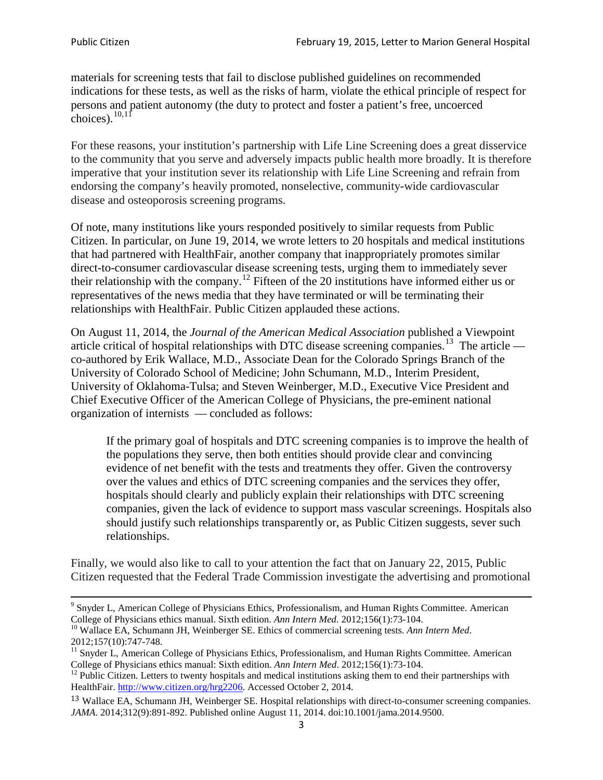materials for screening tests that fail to disclose published guidelines on recommended indications for these tests, as well as the risks of harm, violate the ethical principle of respect for persons and patient autonomy (the duty to protect and foster a patient's free, uncoerced choices). $\frac{10,11}{10,11}$  $\frac{10,11}{10,11}$  $\frac{10,11}{10,11}$  $\frac{10,11}{10,11}$ 

For these reasons, your institution's partnership with Life Line Screening does a great disservice to the community that you serve and adversely impacts public health more broadly. It is therefore imperative that your institution sever its relationship with Life Line Screening and refrain from endorsing the company's heavily promoted, nonselective, community**-**wide cardiovascular disease and osteoporosis screening programs.

Of note, many institutions like yours responded positively to similar requests from Public Citizen. In particular, on June 19, 2014, we wrote letters to 20 hospitals and medical institutions that had partnered with HealthFair, another company that inappropriately promotes similar direct-to-consumer cardiovascular disease screening tests, urging them to immediately sever their relationship with the company. [12](#page-2-2) Fifteen of the 20 institutions have informed either us or representatives of the news media that they have terminated or will be terminating their relationships with HealthFair. Public Citizen applauded these actions.

On August 11, 2014, the *Journal of the American Medical Association* published a Viewpoint article critical of hospital relationships with DTC disease screening companies.<sup>13</sup> The article co-authored by Erik Wallace, M.D., Associate Dean for the Colorado Springs Branch of the University of Colorado School of Medicine; John Schumann, M.D., Interim President, University of Oklahoma-Tulsa; and Steven Weinberger, M.D., Executive Vice President and Chief Executive Officer of the American College of Physicians, the pre**-**eminent national organization of internists — concluded as follows:

If the primary goal of hospitals and DTC screening companies is to improve the health of the populations they serve, then both entities should provide clear and convincing evidence of net benefit with the tests and treatments they offer. Given the controversy over the values and ethics of DTC screening companies and the services they offer, hospitals should clearly and publicly explain their relationships with DTC screening companies, given the lack of evidence to support mass vascular screenings. Hospitals also should justify such relationships transparently or, as Public Citizen suggests, sever such relationships.

Finally, we would also like to call to your attention the fact that on January 22, 2015, Public Citizen requested that the Federal Trade Commission investigate the advertising and promotional

<sup>&</sup>lt;sup>9</sup> Snyder L, American College of Physicians Ethics, Professionalism, and Human Rights Committee. American College of Physicians ethics manual. Sixth edition. Ann Intern Med. 2012;156(1):73-104.

<span id="page-2-0"></span><sup>&</sup>lt;sup>10</sup> Wallace EA, Schumann JH, Weinberger SE. Ethics of commercial screening tests. *Ann Intern Med*. 2012;157(10):747-748.

<span id="page-2-1"></span> $11$  Snyder L, American College of Physicians Ethics, Professionalism, and Human Rights Committee. American College of Physicians ethics manual: Sixth edition. *Ann Intern Med*. 2012;156(1):73-104.<br><sup>12</sup> Public Citizen. Letters to twenty hospitals and medical institutions asking them to end their partnerships with

<span id="page-2-2"></span>HealthFair. [http://www.citizen.org/hrg2206.](http://www.citizen.org/hrg2206) Accessed October 2, 2014.

<span id="page-2-3"></span><sup>13</sup> Wallace EA, Schumann JH, Weinberger SE. Hospital relationships with direct-to-consumer screening companies. *JAMA*. 2014;312(9):891-892. Published online August 11, 2014. doi:10.1001/jama.2014.9500.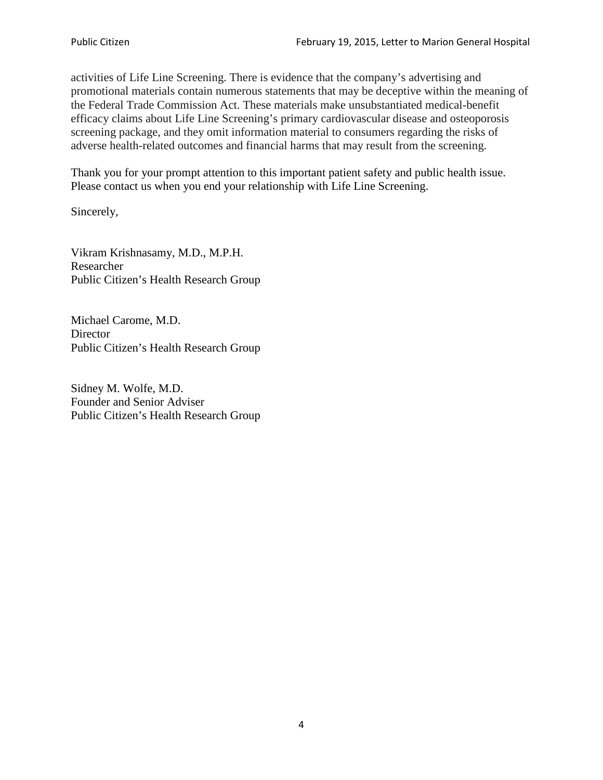activities of Life Line Screening. There is evidence that the company's advertising and promotional materials contain numerous statements that may be deceptive within the meaning of the Federal Trade Commission Act. These materials make unsubstantiated medical-benefit efficacy claims about Life Line Screening's primary cardiovascular disease and osteoporosis screening package, and they omit information material to consumers regarding the risks of adverse health-related outcomes and financial harms that may result from the screening.

Thank you for your prompt attention to this important patient safety and public health issue. Please contact us when you end your relationship with Life Line Screening.

Sincerely,

Vikram Krishnasamy, M.D., M.P.H. Researcher Public Citizen's Health Research Group

Michael Carome, M.D. **Director** Public Citizen's Health Research Group

Sidney M. Wolfe, M.D. Founder and Senior Adviser Public Citizen's Health Research Group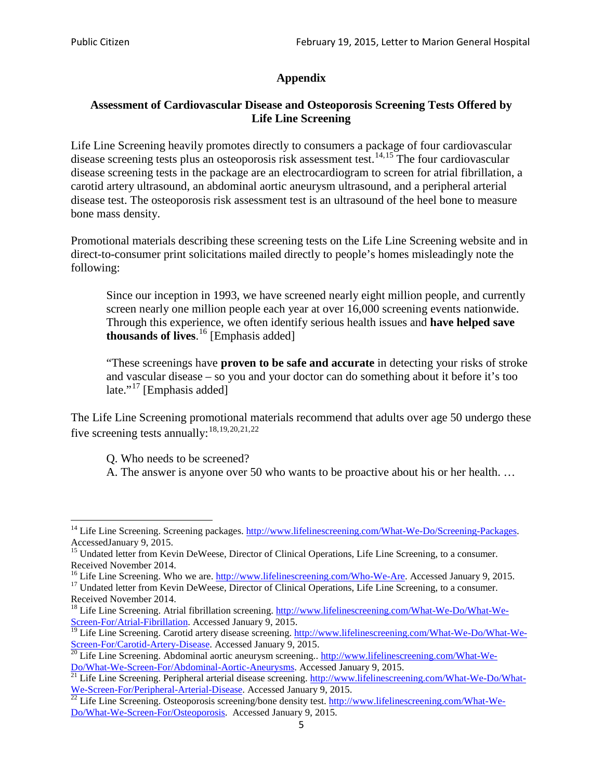# **Appendix**

# **Assessment of Cardiovascular Disease and Osteoporosis Screening Tests Offered by Life Line Screening**

Life Line Screening heavily promotes directly to consumers a package of four cardiovascular disease screening tests plus an osteoporosis risk assessment test.<sup>[14](#page-4-0),[15](#page-4-1)</sup> The four cardiovascular disease screening tests in the package are an electrocardiogram to screen for atrial fibrillation, a carotid artery ultrasound, an abdominal aortic aneurysm ultrasound, and a peripheral arterial disease test. The osteoporosis risk assessment test is an ultrasound of the heel bone to measure bone mass density.

Promotional materials describing these screening tests on the Life Line Screening website and in direct-to-consumer print solicitations mailed directly to people's homes misleadingly note the following:

Since our inception in 1993, we have screened nearly eight million people, and currently screen nearly one million people each year at over 16,000 screening events nationwide. Through this experience, we often identify serious health issues and **have helped save thousands of lives**. [16](#page-4-2) [Emphasis added]

"These screenings have **proven to be safe and accurate** in detecting your risks of stroke and vascular disease – so you and your doctor can do something about it before it's too late."<sup>[17](#page-4-3)</sup> [Emphasis added]

The Life Line Screening promotional materials recommend that adults over age 50 undergo these five screening tests annually:<sup>[18](#page-4-4),[19,](#page-4-5)[20,](#page-4-6)[21](#page-4-7),[22](#page-4-8)</sup>

Q. Who needs to be screened?

A. The answer is anyone over 50 who wants to be proactive about his or her health. …

<span id="page-4-0"></span><sup>&</sup>lt;sup>14</sup> Life Line Screening. Screening packages. [http://www.lifelinescreening.com/What-We-Do/Screening-Packages.](http://www.lifelinescreening.com/What-We-Do/Screening-Packages) AccessedJanuary 9, 2015.

<span id="page-4-1"></span><sup>&</sup>lt;sup>15</sup> Undated letter from Kevin DeWeese, Director of Clinical Operations, Life Line Screening, to a consumer.

Received November 2014.<br><sup>16</sup> Life Line Screening. Who we are. http://www.lifelinescreening.com/Who-We-Are. Accessed January 9, 2015.

<span id="page-4-3"></span><span id="page-4-2"></span><sup>&</sup>lt;sup>17</sup> Undated letter from Kevin DeWeese, Director of Clinical Operations, Life Line Screening, to a consumer. Received November 2014.

<span id="page-4-4"></span><sup>&</sup>lt;sup>18</sup> Life Line Screening. Atrial fibrillation screening. [http://www.lifelinescreening.com/What-We-Do/What-We-](http://www.lifelinescreening.com/What-We-Do/What-We-Screen-For/Atrial-Fibrillation)[Screen-For/Atrial-Fibrillation.](http://www.lifelinescreening.com/What-We-Do/What-We-Screen-For/Atrial-Fibrillation) Accessed January 9, 2015.

<sup>&</sup>lt;sup>19</sup> Life Line Screening. Carotid artery disease screening. [http://www.lifelinescreening.com/What-We-Do/What-We-](http://www.lifelinescreening.com/What-We-Do/What-We-Screen-For/Carotid-Artery-Disease)

<span id="page-4-6"></span><span id="page-4-5"></span>[Screen-For/Carotid-Artery-Disease.](http://www.lifelinescreening.com/What-We-Do/What-We-Screen-For/Carotid-Artery-Disease) Accessed January 9, 2015.<br><sup>20</sup> Life Line Screening. Abdominal aortic aneurysm screening.. http://www.lifelinescreening.com/What-We-Do/What-We-Do/What-We-Screen-For/Abdominal-Aortic-Aneury

<span id="page-4-7"></span><sup>&</sup>lt;sup>21</sup> Life Line Screening. Peripheral arterial disease screening. [http://www.lifelinescreening.com/What-We-Do/What-](http://www.lifelinescreening.com/What-We-Do/What-We-Screen-For/Peripheral-Arterial-Disease)

<span id="page-4-8"></span>[We-Screen-For/Peripheral-Arterial-Disease.](http://www.lifelinescreening.com/What-We-Do/What-We-Screen-For/Peripheral-Arterial-Disease) Accessed January 9, 2015.<br><sup>22</sup> Life Line Screening. Osteoporosis screening/bone density test. [http://www.lifelinescreening.com/What-We-](http://www.lifelinescreening.com/What-We-Do/What-We-Screen-For/Osteoporosis)[Do/What-We-Screen-For/Osteoporosis.](http://www.lifelinescreening.com/What-We-Do/What-We-Screen-For/Osteoporosis) Accessed January 9, 2015.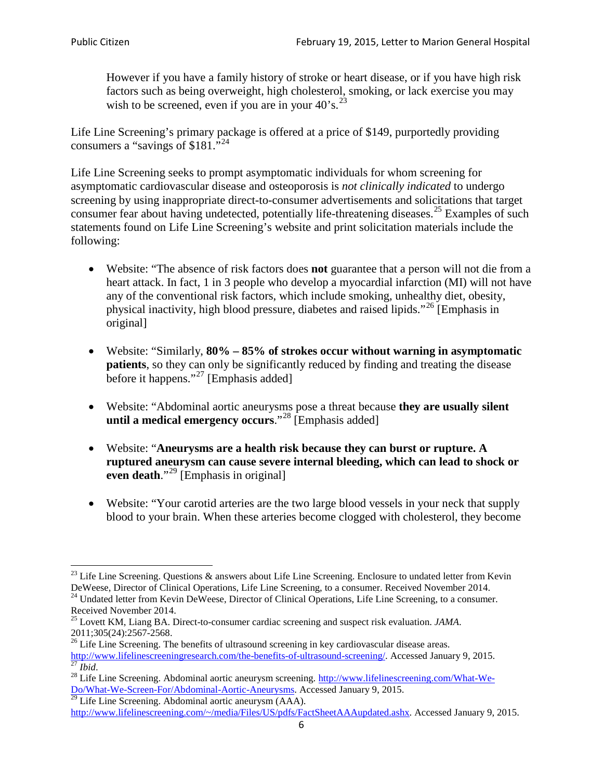However if you have a family history of stroke or heart disease, or if you have high risk factors such as being overweight, high cholesterol, smoking, or lack exercise you may wish to be screened, even if you are in your  $40^{\circ}$ s.<sup>[23](#page-5-0)</sup>

Life Line Screening's primary package is offered at a price of \$149, purportedly providing consumers a "savings of \$181."<sup>[24](#page-5-1)</sup>

Life Line Screening seeks to prompt asymptomatic individuals for whom screening for asymptomatic cardiovascular disease and osteoporosis is *not clinically indicated* to undergo screening by using inappropriate direct-to-consumer advertisements and solicitations that target consumer fear about having undetected, potentially life-threatening diseases.<sup>[25](#page-5-2)</sup> Examples of such statements found on Life Line Screening's website and print solicitation materials include the following:

- Website: "The absence of risk factors does **not** guarantee that a person will not die from a heart attack. In fact, 1 in 3 people who develop a myocardial infarction (MI) will not have any of the conventional risk factors, which include smoking, unhealthy diet, obesity, physical inactivity, high blood pressure, diabetes and raised lipids."[26](#page-5-3) [Emphasis in original]
- Website: "Similarly, **80% – 85% of strokes occur without warning in asymptomatic patients**, so they can only be significantly reduced by finding and treating the disease before it happens."<sup>[27](#page-5-4)</sup> [Emphasis added]
- Website: "Abdominal aortic aneurysms pose a threat because **they are usually silent until a medical emergency occurs**."[28](#page-5-5) [Emphasis added]
- Website: "**Aneurysms are a health risk because they can burst or rupture. A ruptured aneurysm can cause severe internal bleeding, which can lead to shock or even death.**"<sup>[29](#page-5-6)</sup> [Emphasis in original]
- Website: "Your carotid arteries are the two large blood vessels in your neck that supply blood to your brain. When these arteries become clogged with cholesterol, they become

<span id="page-5-0"></span><sup>&</sup>lt;sup>23</sup> Life Line Screening. Questions  $\&$  answers about Life Line Screening. Enclosure to undated letter from Kevin DeWeese, Director of Clinical Operations, Life Line Screening, to a consumer. Received November 2014.

<span id="page-5-1"></span><sup>&</sup>lt;sup>24</sup> Undated letter from Kevin DeWeese, Director of Clinical Operations, Life Line Screening, to a consumer. Received November 2014.

<span id="page-5-2"></span><sup>25</sup> Lovett KM, Liang BA. Direct-to-consumer cardiac screening and suspect risk evaluation. *JAMA*.  $2011;305(24):2567-2568$ .<br><sup>26</sup> Life Line Screening. The benefits of ultrasound screening in key cardiovascular disease areas.

<span id="page-5-3"></span>[http://www.lifelinescreeningresearch.com/the-benefits-of-ultrasound-screening/.](http://www.lifelinescreeningresearch.com/the-benefits-of-ultrasound-screening/) Accessed January 9, 2015.<br><sup>28</sup> Life Line Screening. Abdominal aortic aneurysm screening. http://www.lifelinescreening.com/What-We-<sup>28</sup>

<span id="page-5-5"></span><span id="page-5-4"></span>[Do/What-We-Screen-For/Abdominal-Aortic-Aneurysms.](http://www.lifelinescreening.com/What-We-Do/What-We-Screen-For/Abdominal-Aortic-Aneurysms) Accessed January 9, 2015. <sup>29</sup> Life Line Screening. Abdominal aortic aneurysm (AAA).

<span id="page-5-6"></span>[http://www.lifelinescreening.com/~/media/Files/US/pdfs/FactSheetAAAupdated.ashx.](http://www.lifelinescreening.com/~/media/Files/US/pdfs/FactSheetAAAupdated.ashx) Accessed January 9, 2015.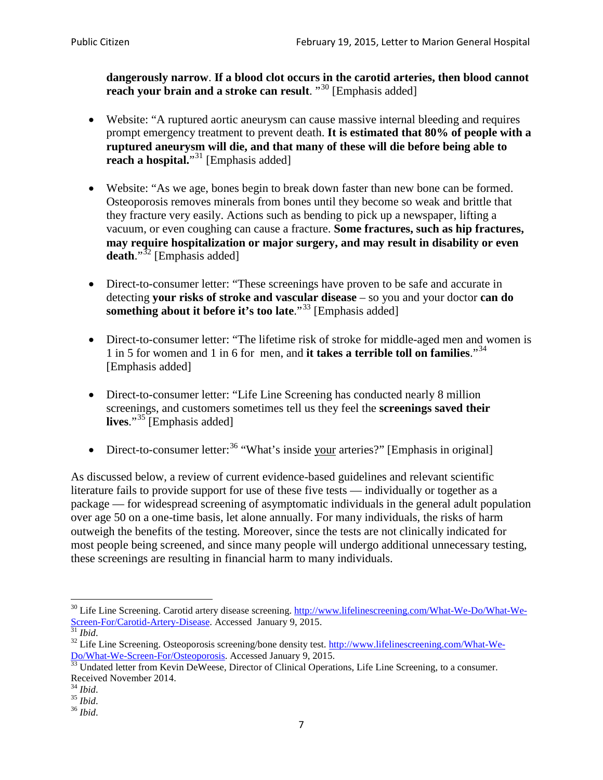**dangerously narrow**. **If a blood clot occurs in the carotid arteries, then blood cannot reach your brain and a stroke can result**. "<sup>[30](#page-6-0)</sup> [Emphasis added]

- Website: "A ruptured aortic aneurysm can cause massive internal bleeding and requires prompt emergency treatment to prevent death. **It is estimated that 80% of people with a ruptured aneurysm will die, and that many of these will die before being able to reach a hospital.**"<sup>[31](#page-6-1)</sup> [Emphasis added]
- Website: "As we age, bones begin to break down faster than new bone can be formed. Osteoporosis removes minerals from bones until they become so weak and brittle that they fracture very easily. Actions such as bending to pick up a newspaper, lifting a vacuum, or even coughing can cause a fracture. **Some fractures, such as hip fractures, may require hospitalization or major surgery, and may result in disability or even**  death."<sup>[32](#page-6-2)</sup> [Emphasis added]
- Direct-to-consumer letter: "These screenings have proven to be safe and accurate in detecting **your risks of stroke and vascular disease** – so you and your doctor **can do something about it before it's too late**."<sup>[33](#page-6-3)</sup> [Emphasis added]
- Direct-to-consumer letter: "The lifetime risk of stroke for middle-aged men and women is 1 in 5 for women and 1 in 6 for men, and **it takes a terrible toll on families**."[34](#page-6-4) [Emphasis added]
- Direct-to-consumer letter: "Life Line Screening has conducted nearly 8 million screenings, and customers sometimes tell us they feel the **screenings saved their lives**."[35](#page-6-5) [Emphasis added]
- Direct-to-consumer letter:  $36$  "What's inside your arteries?" [Emphasis in original]

As discussed below, a review of current evidence-based guidelines and relevant scientific literature fails to provide support for use of these five tests — individually or together as a package — for widespread screening of asymptomatic individuals in the general adult population over age 50 on a one-time basis, let alone annually. For many individuals, the risks of harm outweigh the benefits of the testing. Moreover, since the tests are not clinically indicated for most people being screened, and since many people will undergo additional unnecessary testing, these screenings are resulting in financial harm to many individuals.

<span id="page-6-0"></span><sup>&</sup>lt;sup>30</sup> Life Line Screening. Carotid artery disease screening. [http://www.lifelinescreening.com/What-We-Do/What-We-](http://www.lifelinescreening.com/What-We-Do/What-We-Screen-For/Carotid-Artery-Disease)[Screen-For/Carotid-Artery-Disease.](http://www.lifelinescreening.com/What-We-Do/What-We-Screen-For/Carotid-Artery-Disease) Accessed January 9, 2015.<br><sup>31</sup> *Ibid.* 32 Life Line Screening. Osteoporosis screening/bone density test. [http://www.lifelinescreening.com/What-We-](http://www.lifelinescreening.com/What-We-Do/What-We-Screen-For/Osteoporosis)

<span id="page-6-2"></span><span id="page-6-1"></span>[Do/What-We-Screen-For/Osteoporosis.](http://www.lifelinescreening.com/What-We-Do/What-We-Screen-For/Osteoporosis) Accessed January 9, 2015. <sup>33</sup> Undated letter from Kevin DeWeese, Director of Clinical Operations, Life Line Screening, to a consumer.

<span id="page-6-3"></span>Received November 2014.<br><sup>34</sup> Ibid.

<span id="page-6-4"></span>

<span id="page-6-5"></span><sup>34</sup> *Ibid*. 35 *Ibid*. 36 *Ibid*.

<span id="page-6-6"></span>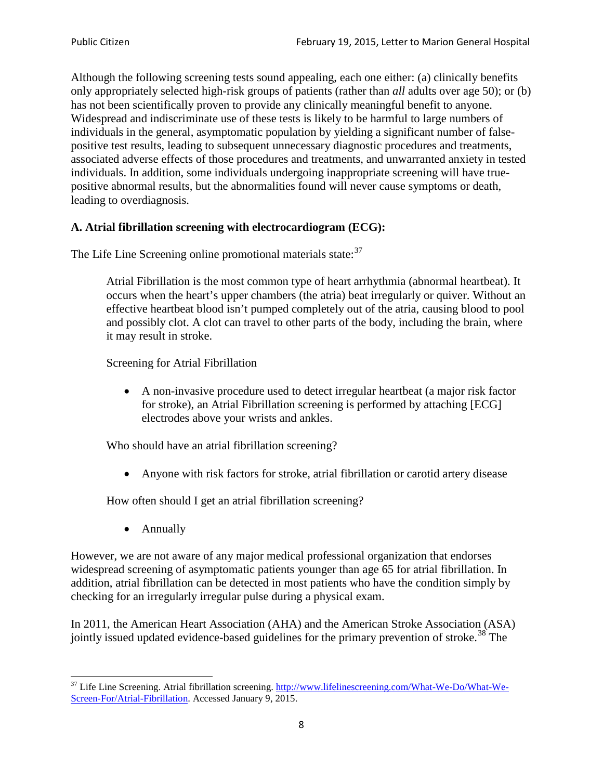Although the following screening tests sound appealing, each one either: (a) clinically benefits only appropriately selected high-risk groups of patients (rather than *all* adults over age 50); or (b) has not been scientifically proven to provide any clinically meaningful benefit to anyone. Widespread and indiscriminate use of these tests is likely to be harmful to large numbers of individuals in the general, asymptomatic population by yielding a significant number of falsepositive test results, leading to subsequent unnecessary diagnostic procedures and treatments, associated adverse effects of those procedures and treatments, and unwarranted anxiety in tested individuals. In addition, some individuals undergoing inappropriate screening will have truepositive abnormal results, but the abnormalities found will never cause symptoms or death, leading to overdiagnosis.

# **A. Atrial fibrillation screening with electrocardiogram (ECG):**

The Life Line Screening online promotional materials state:<sup>[37](#page-7-0)</sup>

Atrial Fibrillation is the most common type of heart arrhythmia (abnormal heartbeat). It occurs when the heart's upper chambers (the atria) beat irregularly or quiver. Without an effective heartbeat blood isn't pumped completely out of the atria, causing blood to pool and possibly clot. A clot can travel to other parts of the body, including the brain, where it may result in stroke.

Screening for Atrial Fibrillation

• A non-invasive procedure used to detect irregular heartbeat (a major risk factor for stroke), an Atrial Fibrillation screening is performed by attaching [ECG] electrodes above your wrists and ankles.

Who should have an atrial fibrillation screening?

• Anyone with risk factors for stroke, atrial fibrillation or carotid artery disease

How often should I get an atrial fibrillation screening?

• Annually

<span id="page-7-1"></span>However, we are not aware of any major medical professional organization that endorses widespread screening of asymptomatic patients younger than age 65 for atrial fibrillation. In addition, atrial fibrillation can be detected in most patients who have the condition simply by checking for an irregularly irregular pulse during a physical exam.

In 2011, the American Heart Association (AHA) and the American Stroke Association (ASA) jointly issued updated evidence-based guidelines for the primary prevention of stroke.<sup>[38](#page-7-1)</sup> The

<span id="page-7-0"></span><sup>&</sup>lt;sup>37</sup> Life Line Screening. Atrial fibrillation screening. [http://www.lifelinescreening.com/What-We-Do/What-We-](http://www.lifelinescreening.com/What-We-Do/What-We-Screen-For/Atrial-Fibrillation)[Screen-For/Atrial-Fibrillation.](http://www.lifelinescreening.com/What-We-Do/What-We-Screen-For/Atrial-Fibrillation) Accessed January 9, 2015.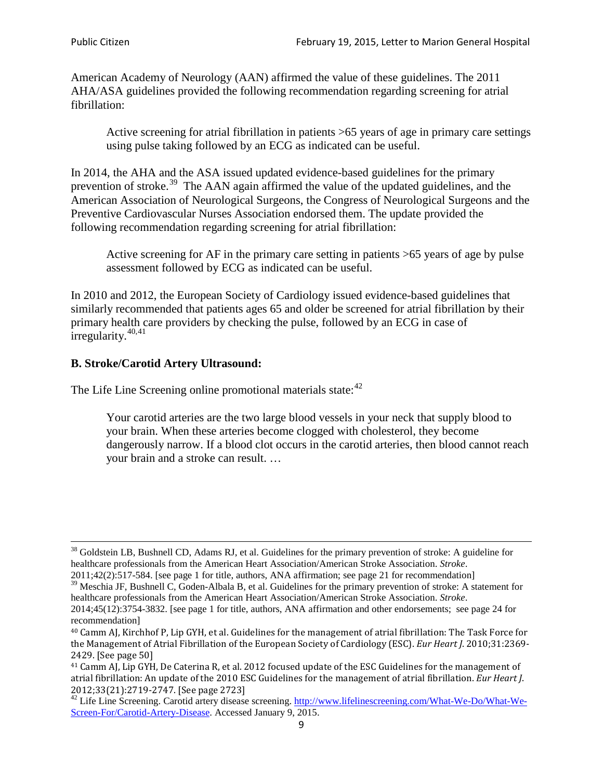American Academy of Neurology (AAN) affirmed the value of these guidelines. The 2011 AHA/ASA guidelines provided the following recommendation regarding screening for atrial fibrillation:

Active screening for atrial fibrillation in patients >65 years of age in primary care settings using pulse taking followed by an ECG as indicated can be useful.

In 2014, the AHA and the ASA issued updated evidence-based guidelines for the primary prevention of stroke.<sup>[39](#page-8-0)</sup> The AAN again affirmed the value of the updated guidelines, and the American Association of Neurological Surgeons, the Congress of Neurological Surgeons and the Preventive Cardiovascular Nurses Association endorsed them. The update provided the following recommendation regarding screening for atrial fibrillation:

Active screening for AF in the primary care setting in patients >65 years of age by pulse assessment followed by ECG as indicated can be useful.

In 2010 and 2012, the European Society of Cardiology issued evidence-based guidelines that similarly recommended that patients ages 65 and older be screened for atrial fibrillation by their primary health care providers by checking the pulse, followed by an ECG in case of irregularity. $40,41$  $40,41$ 

# **B. Stroke/Carotid Artery Ultrasound:**

The Life Line Screening online promotional materials state:<sup>[42](#page-8-3)</sup>

Your carotid arteries are the two large blood vessels in your neck that supply blood to your brain. When these arteries become clogged with cholesterol, they become dangerously narrow. If a blood clot occurs in the carotid arteries, then blood cannot reach your brain and a stroke can result. …

<sup>&</sup>lt;sup>38</sup> Goldstein LB, Bushnell CD, Adams RJ, et al. Guidelines for the primary prevention of stroke: A guideline for healthcare professionals from the American Heart Association/American Stroke Association. *Stroke*.

<sup>2011;42(2):517-584.</sup> [see page 1 for title, authors, ANA affirmation; see page 21 for recommendation]

<span id="page-8-0"></span> $\frac{2011,42(2)(317,601)}{39}$  Meschia JF, Bushnell C, Goden-Albala B, et al. Guidelines for the primary prevention of stroke: A statement for healthcare professionals from the American Heart Association/American Stroke Association. *Stroke*.

<sup>2014;45(12):3754-3832.</sup> [see page 1 for title, authors, ANA affirmation and other endorsements; see page 24 for recommendation]

<span id="page-8-1"></span><sup>40</sup> Camm AJ, Kirchhof P, Lip GYH, et al. Guidelines for the management of atrial fibrillation: The Task Force for the Management of Atrial Fibrillation of the European Society of Cardiology (ESC). *Eur Heart J*. 2010;31:2369- 2429. [See page 50]

<span id="page-8-2"></span><sup>41</sup> Camm AJ, Lip GYH, De Caterina R, et al. 2012 focused update of the ESC Guidelines for the management of atrial fibrillation: An update of the 2010 ESC Guidelines for the management of atrial fibrillation. *Eur Heart J*.

<span id="page-8-3"></span><sup>&</sup>lt;sup>2012</sup>;23(21):2719-2747. [See page 2733] 42 Life Line Screening. [http://www.lifelinescreening.com/What-We-Do/What-We-](http://www.lifelinescreening.com/What-We-Do/What-We-Screen-For/Carotid-Artery-Disease)[Screen-For/Carotid-Artery-Disease.](http://www.lifelinescreening.com/What-We-Do/What-We-Screen-For/Carotid-Artery-Disease) Accessed January 9, 2015.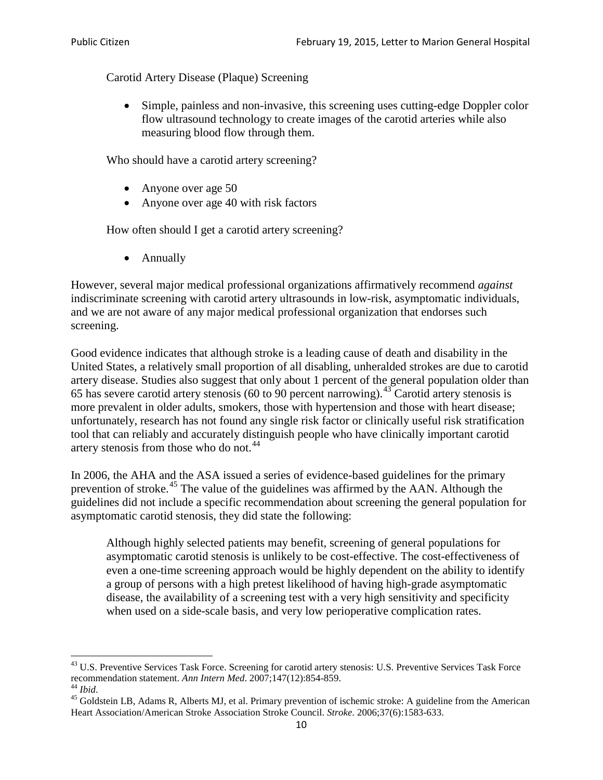Carotid Artery Disease (Plaque) Screening

• Simple, painless and non-invasive, this screening uses cutting-edge Doppler color flow ultrasound technology to create images of the carotid arteries while also measuring blood flow through them.

Who should have a carotid artery screening?

- Anyone over age 50
- Anyone over age 40 with risk factors

How often should I get a carotid artery screening?

• Annually

However, several major medical professional organizations affirmatively recommend *against* indiscriminate screening with carotid artery ultrasounds in low-risk, asymptomatic individuals, and we are not aware of any major medical professional organization that endorses such screening.

Good evidence indicates that although stroke is a leading cause of death and disability in the United States, a relatively small proportion of all disabling, unheralded strokes are due to carotid artery disease. Studies also suggest that only about 1 percent of the general population older than 65 has severe carotid artery stenosis (60 to 90 percent narrowing).<sup>[43](#page-9-0)</sup> Carotid artery stenosis is more prevalent in older adults, smokers, those with hypertension and those with heart disease; unfortunately, research has not found any single risk factor or clinically useful risk stratification tool that can reliably and accurately distinguish people who have clinically important carotid artery stenosis from those who do not.<sup>[44](#page-9-1)</sup>

In 2006, the AHA and the ASA issued a series of evidence-based guidelines for the primary prevention of stroke.<sup>[45](#page-9-2)</sup> The value of the guidelines was affirmed by the AAN. Although the guidelines did not include a specific recommendation about screening the general population for asymptomatic carotid stenosis, they did state the following:

Although highly selected patients may benefit, screening of general populations for asymptomatic carotid stenosis is unlikely to be cost-effective. The cost-effectiveness of even a one-time screening approach would be highly dependent on the ability to identify a group of persons with a high pretest likelihood of having high-grade asymptomatic disease, the availability of a screening test with a very high sensitivity and specificity when used on a side-scale basis, and very low perioperative complication rates.

<span id="page-9-0"></span> $^{43}$  U.S. Preventive Services Task Force. Screening for carotid artery stenosis: U.S. Preventive Services Task Force recommendation statement. Ann Intern Med. 2007;147(12):854-859.

<span id="page-9-2"></span>

<span id="page-9-1"></span><sup>&</sup>lt;sup>44</sup> *Ibid*. <sup>45</sup> Goldstein LB, Adams R, Alberts MJ, et al. Primary prevention of ischemic stroke: A guideline from the American <sup>45</sup> Goldstein LB, Adams R, Alberts MJ, et al. Primary prevention of ischemic stroke: A guide Heart Association/American Stroke Association Stroke Council. *Stroke*. 2006;37(6):1583-633.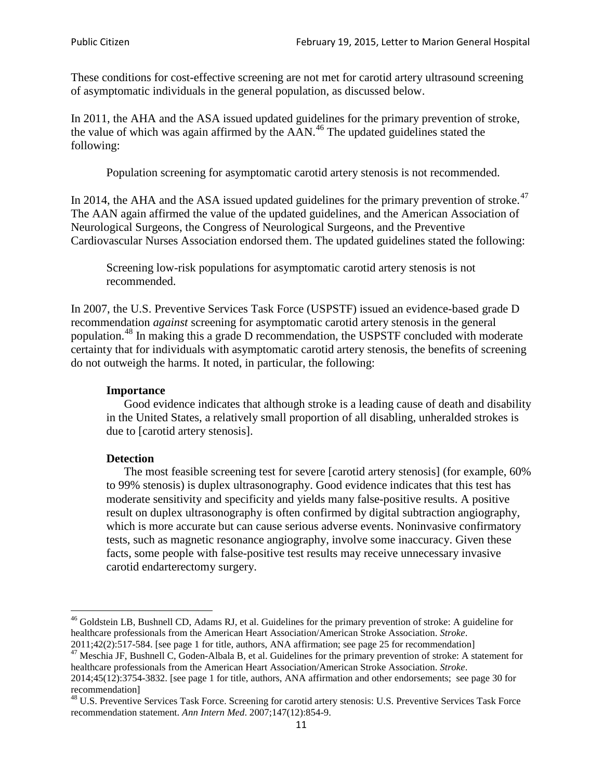These conditions for cost-effective screening are not met for carotid artery ultrasound screening of asymptomatic individuals in the general population, as discussed below.

In 2011, the AHA and the ASA issued updated guidelines for the primary prevention of stroke, the value of which was again affirmed by the  $AAN<sup>46</sup>$  $AAN<sup>46</sup>$  $AAN<sup>46</sup>$ . The updated guidelines stated the following:

Population screening for asymptomatic carotid artery stenosis is not recommended.

In 2014, the AHA and the ASA issued updated guidelines for the primary prevention of stroke.<sup>47</sup> The AAN again affirmed the value of the updated guidelines, and the American Association of Neurological Surgeons, the Congress of Neurological Surgeons, and the Preventive Cardiovascular Nurses Association endorsed them. The updated guidelines stated the following:

Screening low-risk populations for asymptomatic carotid artery stenosis is not recommended.

In 2007, the U.S. Preventive Services Task Force (USPSTF) issued an evidence-based grade D recommendation *against* screening for asymptomatic carotid artery stenosis in the general population.[48](#page-10-2) In making this a grade D recommendation, the USPSTF concluded with moderate certainty that for individuals with asymptomatic carotid artery stenosis, the benefits of screening do not outweigh the harms. It noted, in particular, the following:

### **Importance**

Good evidence indicates that although stroke is a leading cause of death and disability in the United States, a relatively small proportion of all disabling, unheralded strokes is due to [carotid artery stenosis].

#### **Detection**

The most feasible screening test for severe [carotid artery stenosis] (for example, 60% to 99% stenosis) is duplex ultrasonography. Good evidence indicates that this test has moderate sensitivity and specificity and yields many false-positive results. A positive result on duplex ultrasonography is often confirmed by digital subtraction angiography, which is more accurate but can cause serious adverse events. Noninvasive confirmatory tests, such as magnetic resonance angiography, involve some inaccuracy. Given these facts, some people with false-positive test results may receive unnecessary invasive carotid endarterectomy surgery.

<span id="page-10-0"></span><sup>&</sup>lt;sup>46</sup> Goldstein LB, Bushnell CD, Adams RJ, et al. Guidelines for the primary prevention of stroke: A guideline for healthcare professionals from the American Heart Association/American Stroke Association. *Stroke*.<br>2011;42(2):517-584. [see page 1 for title, authors, ANA affirmation; see page 25 for recommendation]

<span id="page-10-1"></span><sup>&</sup>lt;sup>47</sup> Meschia JF, Bushnell C, Goden-Albala B, et al. Guidelines for the primary prevention of stroke: A statement for healthcare professionals from the American Heart Association/American Stroke Association. *Stroke*. 2014;45(12):3754-3832. [see page 1 for title, authors, ANA affirmation and other endorsements; see page 30 for

recommendation]

<span id="page-10-2"></span><sup>&</sup>lt;sup>48</sup> U.S. Preventive Services Task Force. Screening for carotid artery stenosis: U.S. Preventive Services Task Force recommendation statement. *Ann Intern Med*. 2007;147(12):854-9.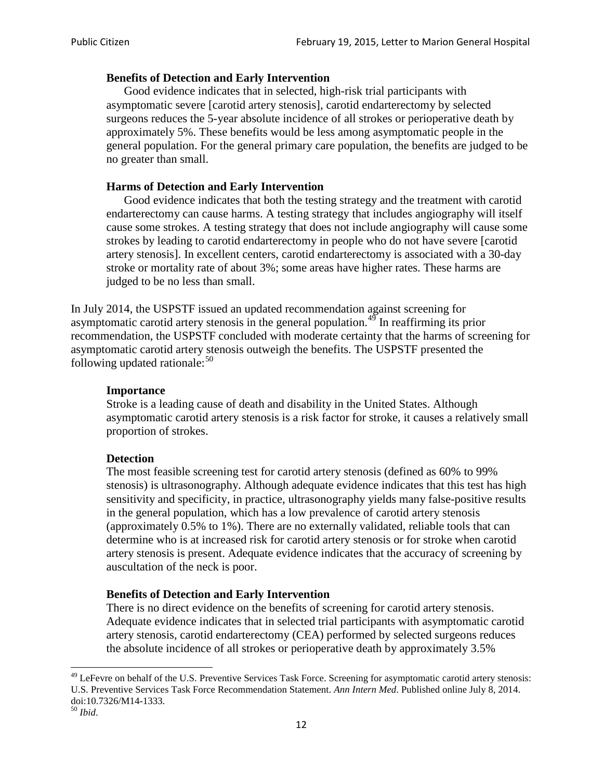### **Benefits of Detection and Early Intervention**

Good evidence indicates that in selected, high-risk trial participants with asymptomatic severe [carotid artery stenosis], carotid endarterectomy by selected surgeons reduces the 5-year absolute incidence of all strokes or perioperative death by approximately 5%. These benefits would be less among asymptomatic people in the general population. For the general primary care population, the benefits are judged to be no greater than small.

### **Harms of Detection and Early Intervention**

Good evidence indicates that both the testing strategy and the treatment with carotid endarterectomy can cause harms. A testing strategy that includes angiography will itself cause some strokes. A testing strategy that does not include angiography will cause some strokes by leading to carotid endarterectomy in people who do not have severe [carotid artery stenosis]. In excellent centers, carotid endarterectomy is associated with a 30-day stroke or mortality rate of about 3%; some areas have higher rates. These harms are judged to be no less than small.

In July 2014, the USPSTF issued an updated recommendation against screening for asymptomatic carotid artery stenosis in the general population.<sup>[49](#page-11-0)</sup> In reaffirming its prior recommendation, the USPSTF concluded with moderate certainty that the harms of screening for asymptomatic carotid artery stenosis outweigh the benefits. The USPSTF presented the following updated rationale: $50$ 

### **Importance**

Stroke is a leading cause of death and disability in the United States. Although asymptomatic carotid artery stenosis is a risk factor for stroke, it causes a relatively small proportion of strokes.

#### **Detection**

The most feasible screening test for carotid artery stenosis (defined as 60% to 99% stenosis) is ultrasonography. Although adequate evidence indicates that this test has high sensitivity and specificity, in practice, ultrasonography yields many false-positive results in the general population, which has a low prevalence of carotid artery stenosis (approximately 0.5% to 1%). There are no externally validated, reliable tools that can determine who is at increased risk for carotid artery stenosis or for stroke when carotid artery stenosis is present. Adequate evidence indicates that the accuracy of screening by auscultation of the neck is poor.

## **Benefits of Detection and Early Intervention**

There is no direct evidence on the benefits of screening for carotid artery stenosis. Adequate evidence indicates that in selected trial participants with asymptomatic carotid artery stenosis, carotid endarterectomy (CEA) performed by selected surgeons reduces the absolute incidence of all strokes or perioperative death by approximately 3.5%

<span id="page-11-0"></span><sup>&</sup>lt;sup>49</sup> LeFevre on behalf of the U.S. Preventive Services Task Force. Screening for asymptomatic carotid artery stenosis: U.S. Preventive Services Task Force Recommendation Statement. *Ann Intern Med*. Published online July 8, 2014. doi:10.7326/M14-1333. <sup>50</sup> *Ibid*.

<span id="page-11-1"></span>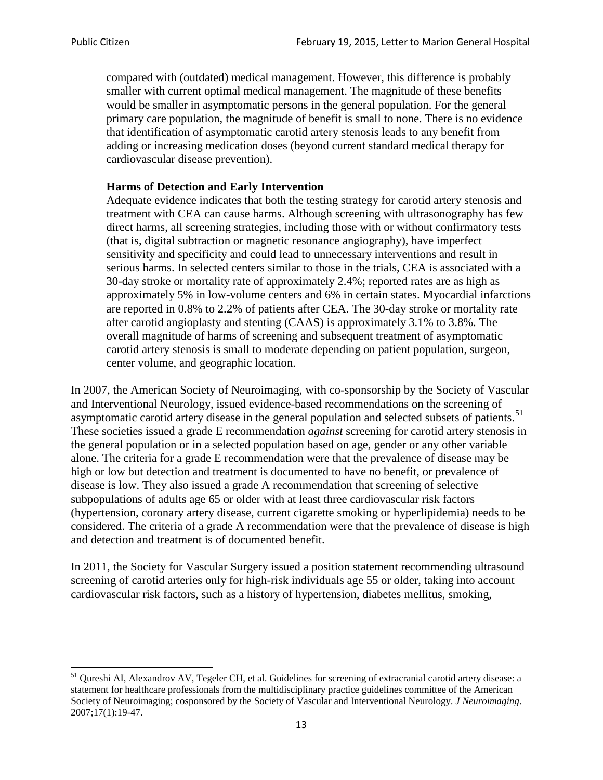compared with (outdated) medical management. However, this difference is probably smaller with current optimal medical management. The magnitude of these benefits would be smaller in asymptomatic persons in the general population. For the general primary care population, the magnitude of benefit is small to none. There is no evidence that identification of asymptomatic carotid artery stenosis leads to any benefit from adding or increasing medication doses (beyond current standard medical therapy for cardiovascular disease prevention).

## **Harms of Detection and Early Intervention**

Adequate evidence indicates that both the testing strategy for carotid artery stenosis and treatment with CEA can cause harms. Although screening with ultrasonography has few direct harms, all screening strategies, including those with or without confirmatory tests (that is, digital subtraction or magnetic resonance angiography), have imperfect sensitivity and specificity and could lead to unnecessary interventions and result in serious harms. In selected centers similar to those in the trials, CEA is associated with a 30-day stroke or mortality rate of approximately 2.4%; reported rates are as high as approximately 5% in low-volume centers and 6% in certain states. Myocardial infarctions are reported in 0.8% to 2.2% of patients after CEA. The 30-day stroke or mortality rate after carotid angioplasty and stenting (CAAS) is approximately 3.1% to 3.8%. The overall magnitude of harms of screening and subsequent treatment of asymptomatic carotid artery stenosis is small to moderate depending on patient population, surgeon, center volume, and geographic location.

In 2007, the American Society of Neuroimaging, with co-sponsorship by the Society of Vascular and Interventional Neurology, issued evidence-based recommendations on the screening of asymptomatic carotid artery disease in the general population and selected subsets of patients.<sup>[51](#page-12-0)</sup> These societies issued a grade E recommendation *against* screening for carotid artery stenosis in the general population or in a selected population based on age, gender or any other variable alone. The criteria for a grade E recommendation were that the prevalence of disease may be high or low but detection and treatment is documented to have no benefit, or prevalence of disease is low. They also issued a grade A recommendation that screening of selective subpopulations of adults age 65 or older with at least three cardiovascular risk factors (hypertension, coronary artery disease, current cigarette smoking or hyperlipidemia) needs to be considered. The criteria of a grade A recommendation were that the prevalence of disease is high and detection and treatment is of documented benefit.

In 2011, the Society for Vascular Surgery issued a position statement recommending ultrasound screening of carotid arteries only for high-risk individuals age 55 or older, taking into account cardiovascular risk factors, such as a history of hypertension, diabetes mellitus, smoking,

<span id="page-12-0"></span><sup>&</sup>lt;sup>51</sup> Qureshi AI, Alexandrov AV, Tegeler CH, et al. Guidelines for screening of extracranial carotid artery disease: a statement for healthcare professionals from the multidisciplinary practice guidelines committee of the American Society of Neuroimaging; cosponsored by the Society of Vascular and Interventional Neurology. *J Neuroimaging*. 2007;17(1):19-47.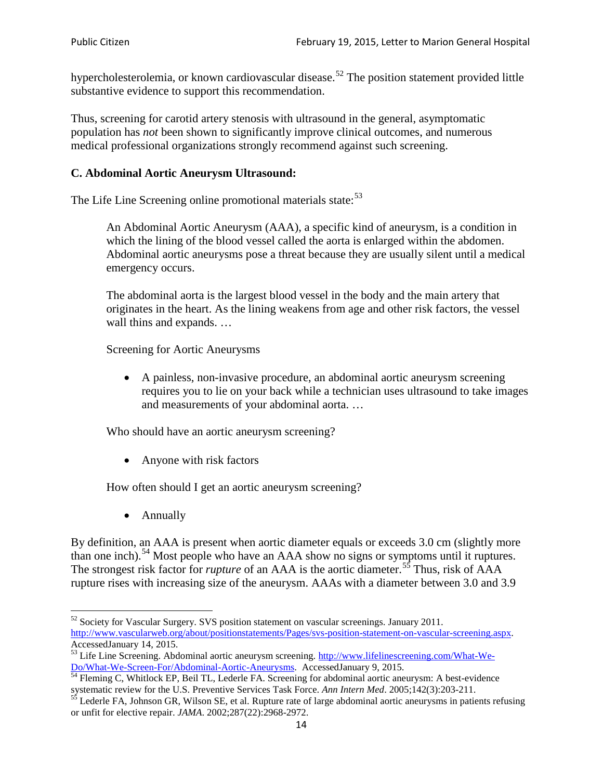hypercholesterolemia, or known cardiovascular disease.<sup>[52](#page-13-0)</sup> The position statement provided little substantive evidence to support this recommendation.

Thus, screening for carotid artery stenosis with ultrasound in the general, asymptomatic population has *not* been shown to significantly improve clinical outcomes, and numerous medical professional organizations strongly recommend against such screening.

## **C. Abdominal Aortic Aneurysm Ultrasound:**

The Life Line Screening online promotional materials state:<sup>[53](#page-13-1)</sup>

An Abdominal Aortic Aneurysm (AAA), a specific kind of aneurysm, is a condition in which the lining of the blood vessel called the aorta is enlarged within the abdomen. Abdominal aortic aneurysms pose a threat because they are usually silent until a medical emergency occurs.

The abdominal aorta is the largest blood vessel in the body and the main artery that originates in the heart. As the lining weakens from age and other risk factors, the vessel wall thins and expands. …

Screening for Aortic Aneurysms

• A painless, non-invasive procedure, an abdominal aortic aneurysm screening requires you to lie on your back while a technician uses ultrasound to take images and measurements of your abdominal aorta. …

Who should have an aortic aneurysm screening?

• Anyone with risk factors

How often should I get an aortic aneurysm screening?

• Annually

By definition, an AAA is present when aortic diameter equals or exceeds 3.0 cm (slightly more than one inch).<sup>[54](#page-13-2)</sup> Most people who have an AAA show no signs or symptoms until it ruptures. The strongest risk factor for *rupture* of an AAA is the aortic diameter.<sup>[55](#page-13-3)</sup> Thus, risk of AAA rupture rises with increasing size of the aneurysm. AAAs with a diameter between 3.0 and 3.9

<span id="page-13-0"></span><sup>&</sup>lt;sup>52</sup> Society for Vascular Surgery. SVS position statement on vascular screenings. January 2011. http://www.vascularweb.org/about/positionstatements/Pages/svs-position-statement-on-vascular-screening.aspx.<br>Accessed January 14, 2015.

<span id="page-13-1"></span>Accessed Line Screening. Abdominal aortic aneurysm screening. http://www.lifelinescreening.com/What-We-<br>Do/What-We-Screen-For/Abdominal-Aortic-Aneurysms. Accessed January 9, 2015.

<span id="page-13-2"></span> $\frac{1}{54}$  Fleming C, Whitlock EP, Beil TL, Lederle FA. Screening for abdominal aortic aneurysm: A best-evidence systematic review for the U.S. Preventive Services Task Force. *Ann Intern Med.* 2005;142(3):203-211.<br><sup>55</sup> Lederle FA, Johnson GR, Wilson SE, et al. Rupture rate of large abdominal aortic aneurysms in patients refusing

<span id="page-13-3"></span>or unfit for elective repair. *JAMA*. 2002;287(22):2968-2972.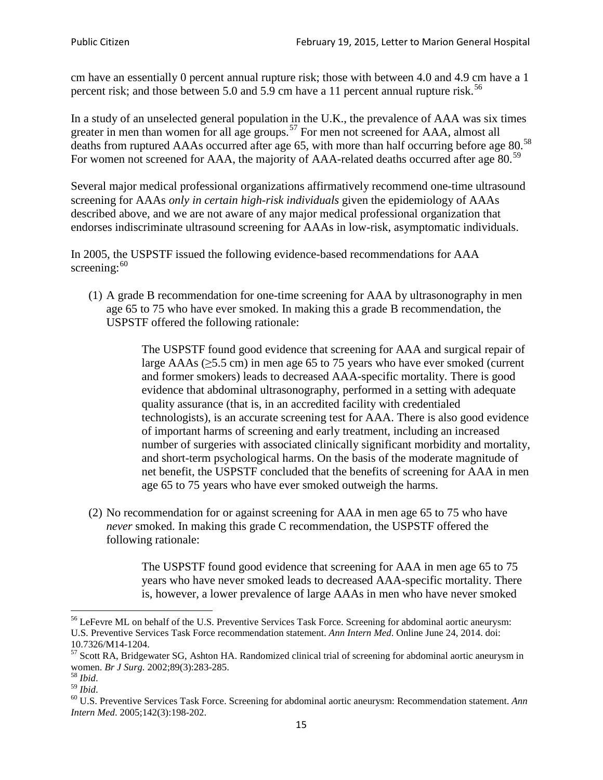cm have an essentially 0 percent annual rupture risk; those with between 4.0 and 4.9 cm have a 1 percent risk; and those between 5.0 and 5.9 cm have a 11 percent annual rupture risk.<sup>[56](#page-14-0)</sup>

In a study of an unselected general population in the U.K., the prevalence of AAA was six times greater in men than women for all age groups.<sup>[57](#page-14-1)</sup> For men not screened for  $AAA$ , almost all deaths from ruptured AAAs occurred after age 65, with more than half occurring before age 80.<sup>[58](#page-14-2)</sup> For women not screened for AAA, the majority of AAA-related deaths occurred after age 80.<sup>[59](#page-14-3)</sup>

Several major medical professional organizations affirmatively recommend one-time ultrasound screening for AAAs *only in certain high-risk individuals* given the epidemiology of AAAs described above, and we are not aware of any major medical professional organization that endorses indiscriminate ultrasound screening for AAAs in low-risk, asymptomatic individuals.

In 2005, the USPSTF issued the following evidence-based recommendations for AAA screening:  $60$ 

(1) A grade B recommendation for one-time screening for AAA by ultrasonography in men age 65 to 75 who have ever smoked. In making this a grade [B recommendation,](http://www.uspreventiveservicestaskforce.org/uspstf/gradespre.htm#brec) the USPSTF offered the following rationale:

> The USPSTF found good evidence that screening for AAA and surgical repair of large AAAs ( $\geq$ 5.5 cm) in men age 65 to 75 years who have ever smoked (current and former smokers) leads to decreased AAA-specific mortality. There is good evidence that abdominal ultrasonography, performed in a setting with adequate quality assurance (that is, in an accredited facility with credentialed technologists), is an accurate screening test for AAA. There is also good evidence of important harms of screening and early treatment, including an increased number of surgeries with associated clinically significant morbidity and mortality, and short-term psychological harms. On the basis of the moderate magnitude of net benefit, the USPSTF concluded that the benefits of screening for AAA in men age 65 to 75 years who have ever smoked outweigh the harms.

(2) No recommendation for or against screening for AAA in men age 65 to 75 who have *never* smoked. In making this grade C recommendation, the USPSTF offered the following rationale:

> The USPSTF found good evidence that screening for AAA in men age 65 to 75 years who have never smoked leads to decreased AAA-specific mortality. There is, however, a lower prevalence of large AAAs in men who have never smoked

<span id="page-14-0"></span><sup>&</sup>lt;sup>56</sup> LeFevre ML on behalf of the U.S. Preventive Services Task Force. Screening for abdominal aortic aneurysm: U.S. Preventive Services Task Force recommendation statement. *Ann Intern Med*. Online June 24, 2014. doi:

<span id="page-14-1"></span><sup>10.7326/</sup>M14-1204.<br> $57$  Scott RA, Bridgewater SG, Ashton HA. Randomized clinical trial of screening for abdominal aortic aneurysm in women. *Br J Surg.* 2002;89(3):283-285.

<span id="page-14-4"></span><span id="page-14-3"></span>

<span id="page-14-2"></span><sup>&</sup>lt;sup>58</sup> *Ibid.*<br><sup>59</sup> *Ibid.* 2002;<br><sup>60</sup> U.S. Preventive Services Task Force. Screening for abdominal aortic aneurysm: Recommendation statement. *Ann Intern Med*. 2005;142(3):198-202.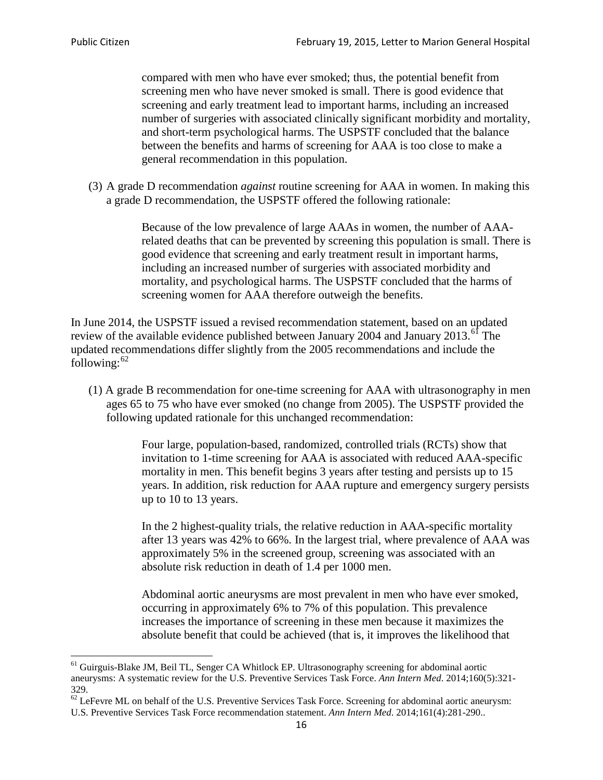compared with men who have ever smoked; thus, the potential benefit from screening men who have never smoked is small. There is good evidence that screening and early treatment lead to important harms, including an increased number of surgeries with associated clinically significant morbidity and mortality, and short-term psychological harms. The USPSTF concluded that the balance between the benefits and harms of screening for AAA is too close to make a general recommendation in this population.

(3) A grade D recommendation *against* routine screening for AAA in women. In making this a grade D recommendation, the USPSTF offered the following rationale:

> Because of the low prevalence of large AAAs in women, the number of AAArelated deaths that can be prevented by screening this population is small. There is good evidence that screening and early treatment result in important harms, including an increased number of surgeries with associated morbidity and mortality, and psychological harms. The USPSTF concluded that the harms of screening women for AAA therefore outweigh the benefits.

In June 2014, the USPSTF issued a revised recommendation statement, based on an updated review of the available evidence published between January 2004 and January 2013.<sup>[61](#page-15-0)</sup> The updated recommendations differ slightly from the 2005 recommendations and include the following: $62$ 

(1) A grade B recommendation for one-time screening for AAA with ultrasonography in men ages 65 to 75 who have ever smoked (no change from 2005). The USPSTF provided the following updated rationale for this unchanged recommendation:

> Four large, population-based, randomized, controlled trials (RCTs) show that invitation to 1-time screening for AAA is associated with reduced AAA-specific mortality in men. This benefit begins 3 years after testing and persists up to 15 years. In addition, risk reduction for AAA rupture and emergency surgery persists up to 10 to 13 years.

> In the 2 highest-quality trials, the relative reduction in AAA-specific mortality after 13 years was 42% to 66%. In the largest trial, where prevalence of AAA was approximately 5% in the screened group, screening was associated with an absolute risk reduction in death of 1.4 per 1000 men.

Abdominal aortic aneurysms are most prevalent in men who have ever smoked, occurring in approximately 6% to 7% of this population. This prevalence increases the importance of screening in these men because it maximizes the absolute benefit that could be achieved (that is, it improves the likelihood that

<span id="page-15-0"></span><sup>61</sup> Guirguis-Blake JM, Beil TL, Senger CA Whitlock EP. Ultrasonography screening for abdominal aortic aneurysms: A systematic review for the U.S. Preventive Services Task Force. *Ann Intern Med*. 2014;160(5):321- 329.

<span id="page-15-1"></span> $62$  LeFevre ML on behalf of the U.S. Preventive Services Task Force. Screening for abdominal aortic aneurysm: U.S. Preventive Services Task Force recommendation statement. *Ann Intern Med*. 2014;161(4):281-290..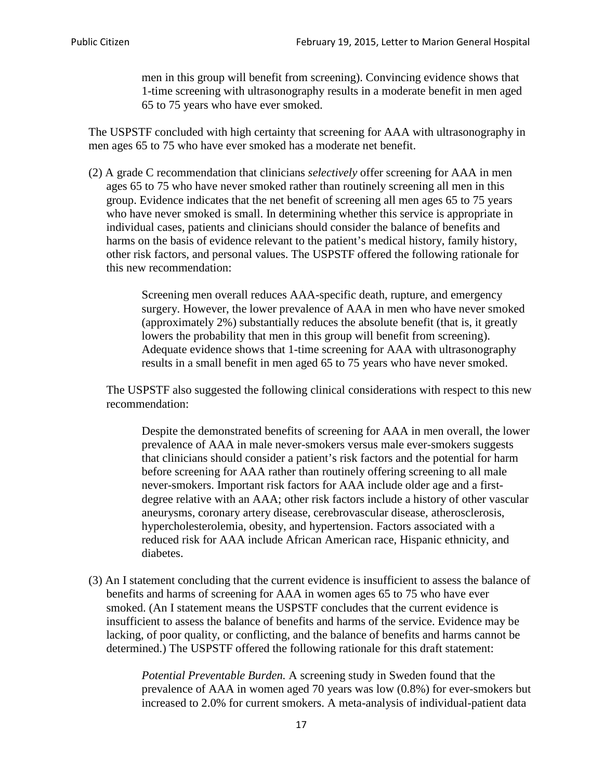men in this group will benefit from screening). Convincing evidence shows that 1-time screening with ultrasonography results in a moderate benefit in men aged 65 to 75 years who have ever smoked.

The USPSTF concluded with high certainty that screening for AAA with ultrasonography in men ages 65 to 75 who have ever smoked has a moderate net benefit.

(2) A grade C recommendation that clinicians *selectively* offer screening for AAA in men ages 65 to 75 who have never smoked rather than routinely screening all men in this group. Evidence indicates that the net benefit of screening all men ages 65 to 75 years who have never smoked is small. In determining whether this service is appropriate in individual cases, patients and clinicians should consider the balance of benefits and harms on the basis of evidence relevant to the patient's medical history, family history, other risk factors, and personal values. The USPSTF offered the following rationale for this new recommendation:

> Screening men overall reduces AAA-specific death, rupture, and emergency surgery. However, the lower prevalence of AAA in men who have never smoked (approximately 2%) substantially reduces the absolute benefit (that is, it greatly lowers the probability that men in this group will benefit from screening). Adequate evidence shows that 1-time screening for AAA with ultrasonography results in a small benefit in men aged 65 to 75 years who have never smoked.

The USPSTF also suggested the following clinical considerations with respect to this new recommendation:

Despite the demonstrated benefits of screening for AAA in men overall, the lower prevalence of AAA in male never-smokers versus male ever-smokers suggests that clinicians should consider a patient's risk factors and the potential for harm before screening for AAA rather than routinely offering screening to all male never-smokers. Important risk factors for AAA include older age and a firstdegree relative with an AAA; other risk factors include a history of other vascular aneurysms, coronary artery disease, cerebrovascular disease, atherosclerosis, hypercholesterolemia, obesity, and hypertension. Factors associated with a reduced risk for AAA include African American race, Hispanic ethnicity, and diabetes.

(3) An I statement concluding that the current evidence is insufficient to assess the balance of benefits and harms of screening for AAA in women ages 65 to 75 who have ever smoked. (An I statement means the USPSTF concludes that the current evidence is insufficient to assess the balance of benefits and harms of the service. Evidence may be lacking, of poor quality, or conflicting, and the balance of benefits and harms cannot be determined.) The USPSTF offered the following rationale for this draft statement:

> *Potential Preventable Burden.* A screening study in Sweden found that the prevalence of AAA in women aged 70 years was low (0.8%) for ever-smokers but increased to 2.0% for current smokers. A meta-analysis of individual-patient data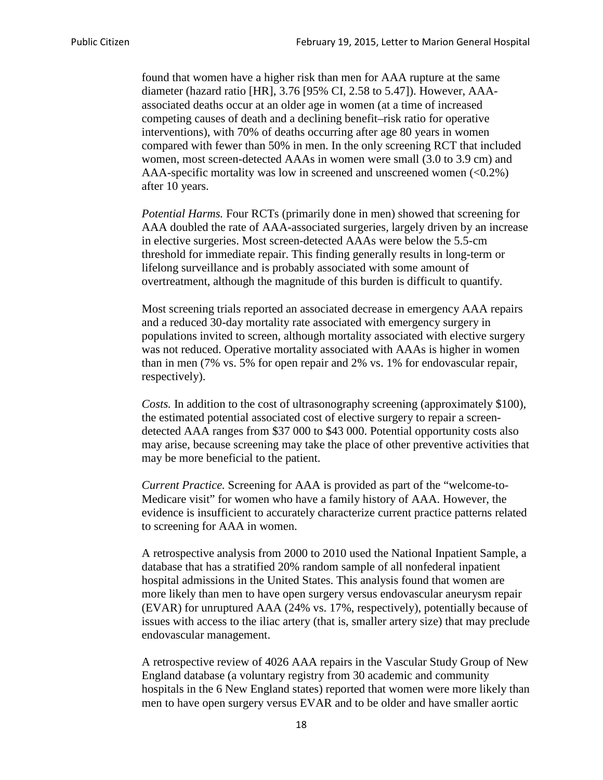found that women have a higher risk than men for AAA rupture at the same diameter (hazard ratio [HR], 3.76 [95% CI, 2.58 to 5.47]). However, AAAassociated deaths occur at an older age in women (at a time of increased competing causes of death and a declining benefit–risk ratio for operative interventions), with 70% of deaths occurring after age 80 years in women compared with fewer than 50% in men. In the only screening RCT that included women, most screen-detected AAAs in women were small (3.0 to 3.9 cm) and AAA-specific mortality was low in screened and unscreened women  $(<0.2\%)$ after 10 years.

*Potential Harms.* Four RCTs (primarily done in men) showed that screening for AAA doubled the rate of AAA-associated surgeries, largely driven by an increase in elective surgeries. Most screen-detected AAAs were below the 5.5-cm threshold for immediate repair. This finding generally results in long-term or lifelong surveillance and is probably associated with some amount of overtreatment, although the magnitude of this burden is difficult to quantify.

Most screening trials reported an associated decrease in emergency AAA repairs and a reduced 30-day mortality rate associated with emergency surgery in populations invited to screen, although mortality associated with elective surgery was not reduced. Operative mortality associated with AAAs is higher in women than in men (7% vs. 5% for open repair and 2% vs. 1% for endovascular repair, respectively).

*Costs.* In addition to the cost of ultrasonography screening (approximately \$100), the estimated potential associated cost of elective surgery to repair a screendetected AAA ranges from \$37 000 to \$43 000. Potential opportunity costs also may arise, because screening may take the place of other preventive activities that may be more beneficial to the patient.

*Current Practice.* Screening for AAA is provided as part of the "welcome-to-Medicare visit" for women who have a family history of AAA. However, the evidence is insufficient to accurately characterize current practice patterns related to screening for AAA in women.

A retrospective analysis from 2000 to 2010 used the National Inpatient Sample, a database that has a stratified 20% random sample of all nonfederal inpatient hospital admissions in the United States. This analysis found that women are more likely than men to have open surgery versus endovascular aneurysm repair (EVAR) for unruptured AAA (24% vs. 17%, respectively), potentially because of issues with access to the iliac artery (that is, smaller artery size) that may preclude endovascular management.

A retrospective review of 4026 AAA repairs in the Vascular Study Group of New England database (a voluntary registry from 30 academic and community hospitals in the 6 New England states) reported that women were more likely than men to have open surgery versus EVAR and to be older and have smaller aortic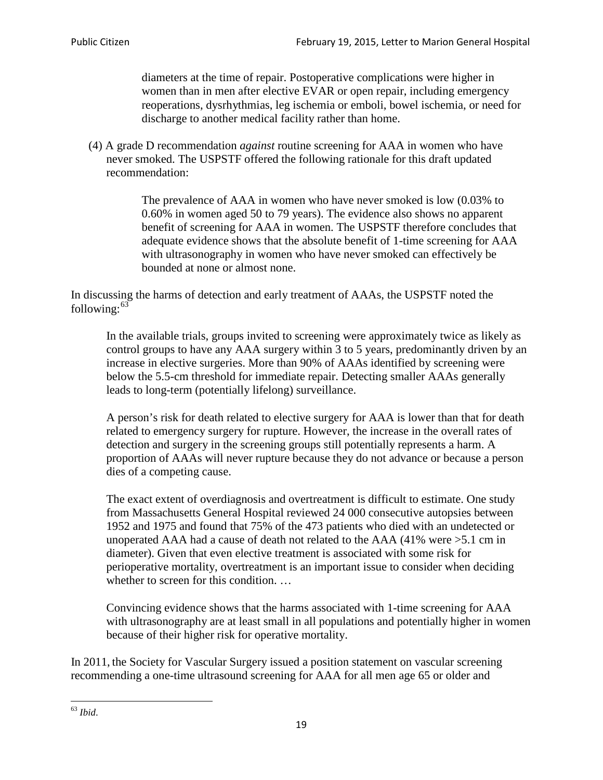diameters at the time of repair. Postoperative complications were higher in women than in men after elective EVAR or open repair, including emergency reoperations, dysrhythmias, leg ischemia or emboli, bowel ischemia, or need for discharge to another medical facility rather than home.

(4) A grade D recommendation *against* routine screening for AAA in women who have never smoked. The USPSTF offered the following rationale for this draft updated recommendation:

> The prevalence of AAA in women who have never smoked is low (0.03% to 0.60% in women aged 50 to 79 years). The evidence also shows no apparent benefit of screening for AAA in women. The USPSTF therefore concludes that adequate evidence shows that the absolute benefit of 1-time screening for AAA with ultrasonography in women who have never smoked can effectively be bounded at none or almost none.

In discussing the harms of detection and early treatment of AAAs, the USPSTF noted the following: $63$ 

In the available trials, groups invited to screening were approximately twice as likely as control groups to have any AAA surgery within 3 to 5 years, predominantly driven by an increase in elective surgeries. More than 90% of AAAs identified by screening were below the 5.5-cm threshold for immediate repair. Detecting smaller AAAs generally leads to long-term (potentially lifelong) surveillance.

A person's risk for death related to elective surgery for AAA is lower than that for death related to emergency surgery for rupture. However, the increase in the overall rates of detection and surgery in the screening groups still potentially represents a harm. A proportion of AAAs will never rupture because they do not advance or because a person dies of a competing cause.

The exact extent of overdiagnosis and overtreatment is difficult to estimate. One study from Massachusetts General Hospital reviewed 24 000 consecutive autopsies between 1952 and 1975 and found that 75% of the 473 patients who died with an undetected or unoperated AAA had a cause of death not related to the AAA (41% were >5.1 cm in diameter). Given that even elective treatment is associated with some risk for perioperative mortality, overtreatment is an important issue to consider when deciding whether to screen for this condition....

Convincing evidence shows that the harms associated with 1-time screening for AAA with ultrasonography are at least small in all populations and potentially higher in women because of their higher risk for operative mortality.

In 2011, the Society for Vascular Surgery issued a position statement on vascular screening recommending a one-time ultrasound screening for AAA for all men age 65 or older and

<span id="page-18-0"></span><sup>63</sup> *Ibid*.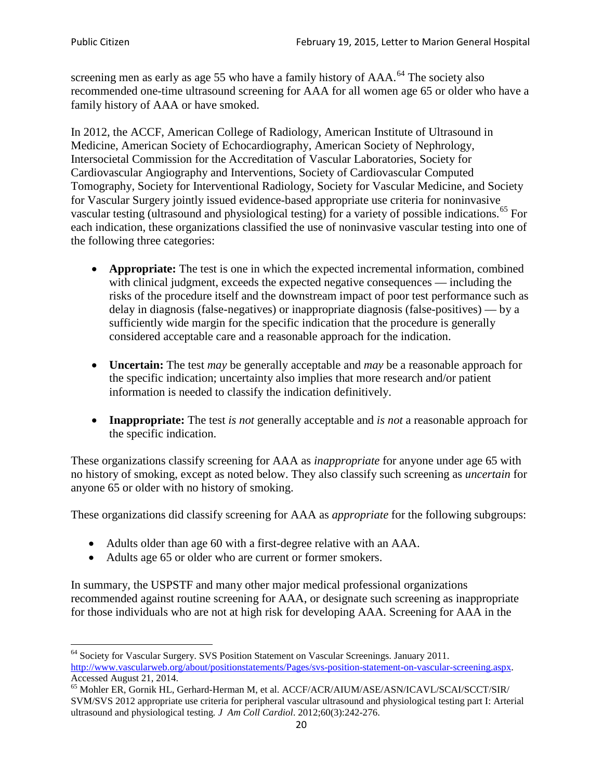screening men as early as age 55 who have a family history of AAA.<sup>[64](#page-19-0)</sup> The society also recommended one-time ultrasound screening for AAA for all women age 65 or older who have a family history of AAA or have smoked.

In 2012, the ACCF, American College of Radiology, American Institute of Ultrasound in Medicine, American Society of Echocardiography, American Society of Nephrology, Intersocietal Commission for the Accreditation of Vascular Laboratories, Society for Cardiovascular Angiography and Interventions, Society of Cardiovascular Computed Tomography, Society for Interventional Radiology, Society for Vascular Medicine, and Society for Vascular Surgery jointly issued evidence-based appropriate use criteria for noninvasive vascular testing (ultrasound and physiological testing) for a variety of possible indications.<sup>[65](#page-19-1)</sup> For each indication, these organizations classified the use of noninvasive vascular testing into one of the following three categories:

- **Appropriate:** The test is one in which the expected incremental information, combined with clinical judgment, exceeds the expected negative consequences — including the risks of the procedure itself and the downstream impact of poor test performance such as delay in diagnosis (false-negatives) or inappropriate diagnosis (false-positives) — by a sufficiently wide margin for the specific indication that the procedure is generally considered acceptable care and a reasonable approach for the indication.
- **Uncertain:** The test *may* be generally acceptable and *may* be a reasonable approach for the specific indication; uncertainty also implies that more research and/or patient information is needed to classify the indication definitively.
- **Inappropriate:** The test *is not* generally acceptable and *is not* a reasonable approach for the specific indication.

These organizations classify screening for AAA as *inappropriate* for anyone under age 65 with no history of smoking, except as noted below. They also classify such screening as *uncertain* for anyone 65 or older with no history of smoking.

These organizations did classify screening for AAA as *appropriate* for the following subgroups:

- Adults older than age 60 with a first-degree relative with an AAA.
- Adults age 65 or older who are current or former smokers.

In summary, the USPSTF and many other major medical professional organizations recommended against routine screening for AAA, or designate such screening as inappropriate for those individuals who are not at high risk for developing AAA. Screening for AAA in the

<span id="page-19-0"></span><sup>64</sup> Society for Vascular Surgery. SVS Position Statement on Vascular Screenings. January 2011. [http://www.vascularweb.org/about/positionstatements/Pages/svs-position-statement-on-vascular-screening.aspx.](http://www.vascularweb.org/about/positionstatements/Pages/svs-position-statement-on-vascular-screening.aspx) 

<span id="page-19-1"></span>Accessed August 21, 2014.<br><sup>65</sup> Mohler ER, Gornik HL, Gerhard-Herman M, et al. ACCF/ACR/AIUM/ASE/ASN/ICAVL/SCAI/SCCT/SIR/ SVM/SVS 2012 appropriate use criteria for peripheral vascular ultrasound and physiological testing part I: Arterial ultrasound and physiological testing*. J Am Coll Cardiol*. 2012;60(3):242-276.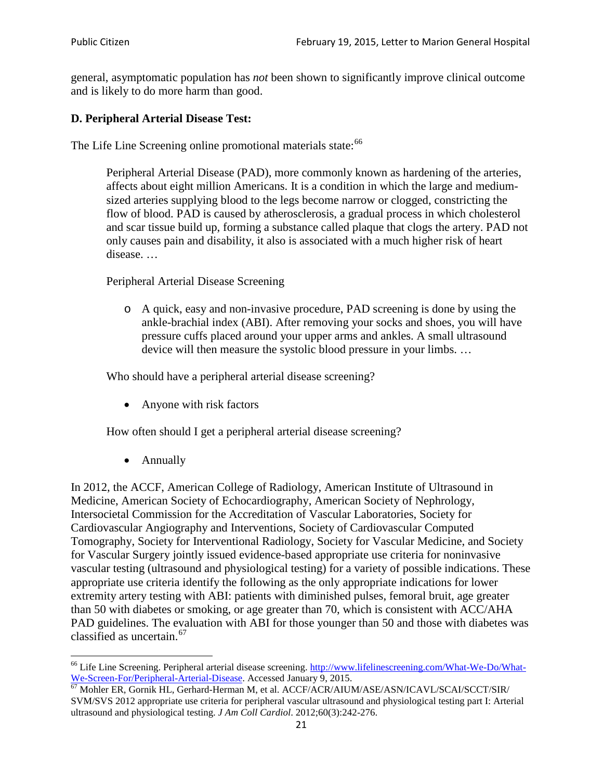general, asymptomatic population has *not* been shown to significantly improve clinical outcome and is likely to do more harm than good.

## **D. Peripheral Arterial Disease Test:**

The Life Line Screening online promotional materials state:<sup>[66](#page-20-0)</sup>

Peripheral Arterial Disease (PAD), more commonly known as hardening of the arteries, affects about eight million Americans. It is a condition in which the large and mediumsized arteries supplying blood to the legs become narrow or clogged, constricting the flow of blood. PAD is caused by atherosclerosis, a gradual process in which cholesterol and scar tissue build up, forming a substance called plaque that clogs the artery. PAD not only causes pain and disability, it also is associated with a much higher risk of heart disease. …

Peripheral Arterial Disease Screening

o A quick, easy and non-invasive procedure, PAD screening is done by using the ankle-brachial index (ABI). After removing your socks and shoes, you will have pressure cuffs placed around your upper arms and ankles. A small ultrasound device will then measure the systolic blood pressure in your limbs. …

Who should have a peripheral arterial disease screening?

• Anyone with risk factors

How often should I get a peripheral arterial disease screening?

• Annually

In 2012, the ACCF, American College of Radiology, American Institute of Ultrasound in Medicine, American Society of Echocardiography, American Society of Nephrology, Intersocietal Commission for the Accreditation of Vascular Laboratories, Society for Cardiovascular Angiography and Interventions, Society of Cardiovascular Computed Tomography, Society for Interventional Radiology, Society for Vascular Medicine, and Society for Vascular Surgery jointly issued evidence-based appropriate use criteria for noninvasive vascular testing (ultrasound and physiological testing) for a variety of possible indications. These appropriate use criteria identify the following as the only appropriate indications for lower extremity artery testing with ABI: patients with diminished pulses, femoral bruit, age greater than 50 with diabetes or smoking, or age greater than 70, which is consistent with ACC/AHA PAD guidelines. The evaluation with ABI for those younger than 50 and those with diabetes was classified as uncertain.<sup>[67](#page-20-1)</sup>

<span id="page-20-0"></span><sup>&</sup>lt;sup>66</sup> Life Line Screening. Peripheral arterial disease screening. [http://www.lifelinescreening.com/What-We-Do/What-](http://www.lifelinescreening.com/What-We-Do/What-We-Screen-For/Peripheral-Arterial-Disease)[We-Screen-For/Peripheral-Arterial-Disease.](http://www.lifelinescreening.com/What-We-Do/What-We-Screen-For/Peripheral-Arterial-Disease) Accessed January 9, 2015.<br><sup>67</sup> Mohler ER, Gornik HL, Gerhard-Herman M, et al. ACCF/ACR/AIUM/ASE/ASN/ICAVL/SCAI/SCCT/SIR/

<span id="page-20-1"></span>SVM/SVS 2012 appropriate use criteria for peripheral vascular ultrasound and physiological testing part I: Arterial ultrasound and physiological testing. *J Am Coll Cardiol*. 2012;60(3):242-276.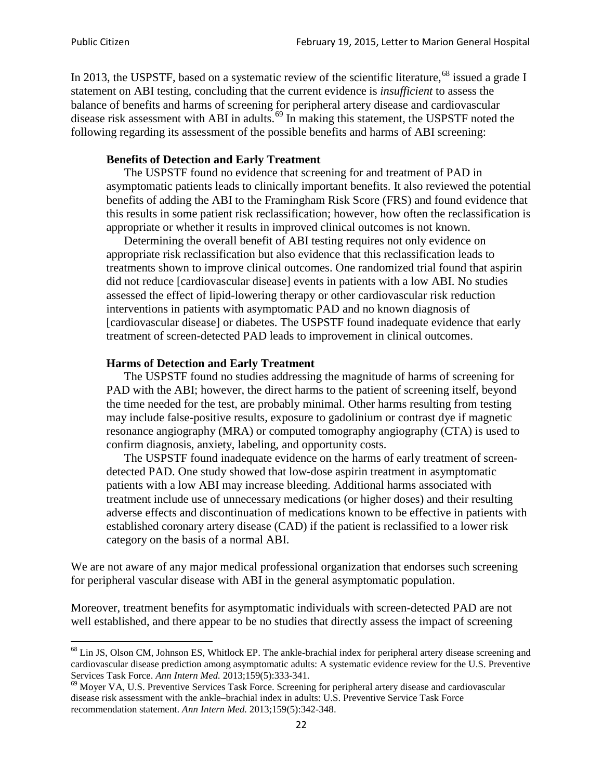In 2013, the USPSTF, based on a systematic review of the scientific literature,<sup>[68](#page-21-0)</sup> issued a grade I statement on ABI testing, concluding that the current evidence is *insufficient* to assess the balance of benefits and harms of screening for peripheral artery disease and cardiovascular disease risk assessment with ABI in adults.<sup>[69](#page-21-1)</sup> In making this statement, the USPSTF noted the following regarding its assessment of the possible benefits and harms of ABI screening:

### **Benefits of Detection and Early Treatment**

The USPSTF found no evidence that screening for and treatment of PAD in asymptomatic patients leads to clinically important benefits. It also reviewed the potential benefits of adding the ABI to the Framingham Risk Score (FRS) and found evidence that this results in some patient risk reclassification; however, how often the reclassification is appropriate or whether it results in improved clinical outcomes is not known.

Determining the overall benefit of ABI testing requires not only evidence on appropriate risk reclassification but also evidence that this reclassification leads to treatments shown to improve clinical outcomes. One randomized trial found that aspirin did not reduce [cardiovascular disease] events in patients with a low ABI. No studies assessed the effect of lipid-lowering therapy or other cardiovascular risk reduction interventions in patients with asymptomatic PAD and no known diagnosis of [cardiovascular disease] or diabetes. The USPSTF found inadequate evidence that early treatment of screen-detected PAD leads to improvement in clinical outcomes.

#### **Harms of Detection and Early Treatment**

The USPSTF found no studies addressing the magnitude of harms of screening for PAD with the ABI; however, the direct harms to the patient of screening itself, beyond the time needed for the test, are probably minimal. Other harms resulting from testing may include false-positive results, exposure to gadolinium or contrast dye if magnetic resonance angiography (MRA) or computed tomography angiography (CTA) is used to confirm diagnosis, anxiety, labeling, and opportunity costs.

The USPSTF found inadequate evidence on the harms of early treatment of screendetected PAD. One study showed that low-dose aspirin treatment in asymptomatic patients with a low ABI may increase bleeding. Additional harms associated with treatment include use of unnecessary medications (or higher doses) and their resulting adverse effects and discontinuation of medications known to be effective in patients with established coronary artery disease (CAD) if the patient is reclassified to a lower risk category on the basis of a normal ABI.

We are not aware of any major medical professional organization that endorses such screening for peripheral vascular disease with ABI in the general asymptomatic population.

Moreover, treatment benefits for asymptomatic individuals with screen-detected PAD are not well established, and there appear to be no studies that directly assess the impact of screening

<span id="page-21-0"></span><sup>&</sup>lt;sup>68</sup> Lin JS, Olson CM, Johnson ES, Whitlock EP. The ankle-brachial index for peripheral artery disease screening and cardiovascular disease prediction among asymptomatic adults: A systematic evidence review for the U.S. Preventive Services Task Force. *Ann Intern Med.* 2013;159(5):333-341.<br><sup>69</sup> Moyer VA, U.S. Preventive Services Task Force. Screening for peripheral artery disease and cardiovascular

<span id="page-21-1"></span>disease risk assessment with the ankle–brachial index in adults: U.S. Preventive Service Task Force recommendation statement. *Ann Intern Med.* 2013;159(5):342-348.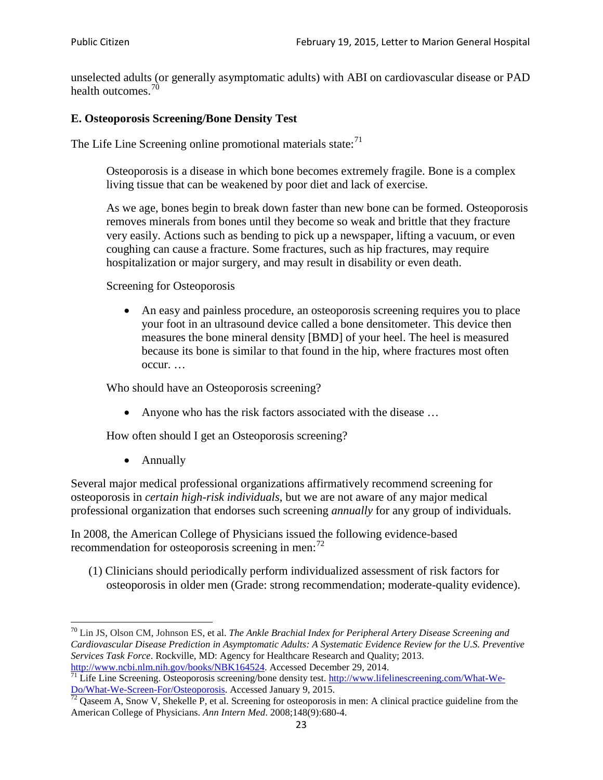unselected adults (or generally asymptomatic adults) with ABI on cardiovascular disease or PAD health outcomes.<sup>[70](#page-22-0)</sup>

## **E. Osteoporosis Screening/Bone Density Test**

The Life Line Screening online promotional materials state: $71$ 

Osteoporosis is a disease in which bone becomes extremely fragile. Bone is a complex living tissue that can be weakened by poor diet and lack of exercise.

As we age, bones begin to break down faster than new bone can be formed. Osteoporosis removes minerals from bones until they become so weak and brittle that they fracture very easily. Actions such as bending to pick up a newspaper, lifting a vacuum, or even coughing can cause a fracture. Some fractures, such as hip fractures, may require hospitalization or major surgery, and may result in disability or even death.

Screening for Osteoporosis

• An easy and painless procedure, an osteoporosis screening requires you to place your foot in an ultrasound device called a bone densitometer. This device then measures the bone mineral density [BMD] of your heel. The heel is measured because its bone is similar to that found in the hip, where fractures most often occur. …

Who should have an Osteoporosis screening?

• Anyone who has the risk factors associated with the disease ...

How often should I get an Osteoporosis screening?

• Annually

Several major medical professional organizations affirmatively recommend screening for osteoporosis in *certain high-risk individuals*, but we are not aware of any major medical professional organization that endorses such screening *annually* for any group of individuals.

In 2008, the American College of Physicians issued the following evidence-based recommendation for osteoporosis screening in men: $^{72}$  $^{72}$  $^{72}$ 

(1) Clinicians should periodically perform individualized assessment of risk factors for osteoporosis in older men (Grade: strong recommendation; moderate-quality evidence).

<span id="page-22-0"></span><sup>70</sup> [Lin JS,](http://www.ncbi.nlm.nih.gov/pubmed?term=Lin%20JS%5BAuthor%5D&cauthor=true&cauthor_uid=24156115) [Olson CM,](http://www.ncbi.nlm.nih.gov/pubmed?term=Olson%20CM%5BAuthor%5D&cauthor=true&cauthor_uid=24156115) [Johnson ES,](http://www.ncbi.nlm.nih.gov/pubmed?term=Johnson%20ES%5BAuthor%5D&cauthor=true&cauthor_uid=24156115) et al. *The Ankle Brachial Index for Peripheral Artery Disease Screening and Cardiovascular Disease Prediction in Asymptomatic Adults: A Systematic Evidence Review for the U.S. Preventive Services Task Force*. Rockville, MD: Agency for Healthcare Research and Quality; 2013.<br>http://www.ncbi.nlm.nih.gov/books/NBK164524. Accessed December 29, 2014.

<span id="page-22-1"></span> $\frac{1}{71}$  Life Line Screening. Osteoporosis screening/bone density test. [http://www.lifelinescreening.com/What-We-](http://www.lifelinescreening.com/What-We-Do/What-We-Screen-For/Osteoporosis)[Do/What-We-Screen-For/Osteoporosis.](http://www.lifelinescreening.com/What-We-Do/What-We-Screen-For/Osteoporosis) Accessed January 9, 2015. <sup>72</sup> Qaseem A, Snow V, Shekelle P, et al. Screening for osteoporosis in men: A clinical practice guideline from the

<span id="page-22-2"></span>American College of Physicians. *Ann Intern Med*. 2008;148(9):680-4.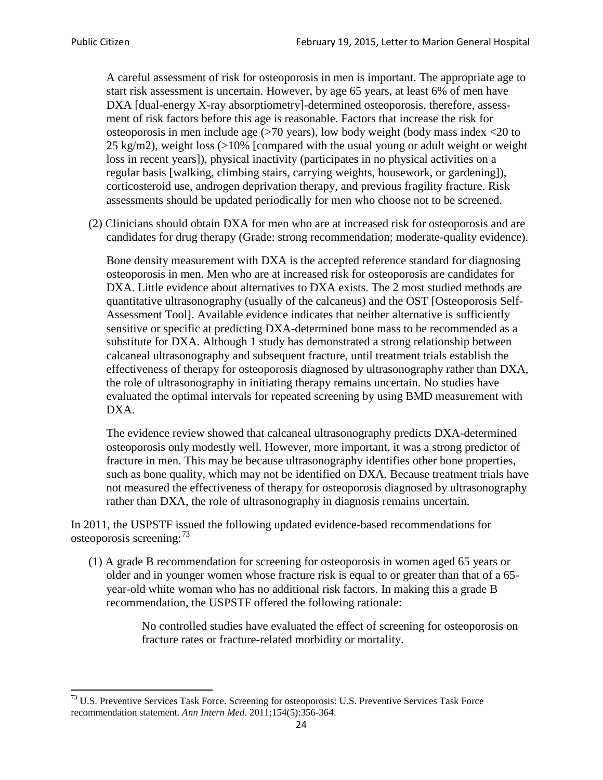A careful assessment of risk for osteoporosis in men is important. The appropriate age to start risk assessment is uncertain. However, by age 65 years, at least 6% of men have DXA [dual-energy X-ray absorptiometry]-determined osteoporosis, therefore, assessment of risk factors before this age is reasonable. Factors that increase the risk for osteoporosis in men include age (>70 years), low body weight (body mass index <20 to 25 kg/m2), weight loss (>10% [compared with the usual young or adult weight or weight loss in recent years]), physical inactivity (participates in no physical activities on a regular basis [walking, climbing stairs, carrying weights, housework, or gardening]), corticosteroid use, androgen deprivation therapy, and previous fragility fracture. Risk assessments should be updated periodically for men who choose not to be screened.

(2) Clinicians should obtain DXA for men who are at increased risk for osteoporosis and are candidates for drug therapy (Grade: strong recommendation; moderate-quality evidence).

Bone density measurement with DXA is the accepted reference standard for diagnosing osteoporosis in men. Men who are at increased risk for osteoporosis are candidates for DXA. Little evidence about alternatives to DXA exists. The 2 most studied methods are quantitative ultrasonography (usually of the calcaneus) and the OST [Osteoporosis Self-Assessment Tool]. Available evidence indicates that neither alternative is sufficiently sensitive or specific at predicting DXA-determined bone mass to be recommended as a substitute for DXA. Although 1 study has demonstrated a strong relationship between calcaneal ultrasonography and subsequent fracture, until treatment trials establish the effectiveness of therapy for osteoporosis diagnosed by ultrasonography rather than DXA, the role of ultrasonography in initiating therapy remains uncertain. No studies have evaluated the optimal intervals for repeated screening by using BMD measurement with DXA.

The evidence review showed that calcaneal ultrasonography predicts DXA-determined osteoporosis only modestly well. However, more important, it was a strong predictor of fracture in men. This may be because ultrasonography identifies other bone properties, such as bone quality, which may not be identified on DXA. Because treatment trials have not measured the effectiveness of therapy for osteoporosis diagnosed by ultrasonography rather than DXA, the role of ultrasonography in diagnosis remains uncertain.

In 2011, the USPSTF issued the following updated evidence-based recommendations for osteoporosis screening:<sup>[73](#page-23-0)</sup>

(1) A grade B recommendation for screening for osteoporosis in women aged 65 years or older and in younger women whose fracture risk is equal to or greater than that of a 65 year-old white woman who has no additional risk factors. In making this a grade B recommendation, the USPSTF offered the following rationale:

> No controlled studies have evaluated the effect of screening for osteoporosis on fracture rates or fracture-related morbidity or mortality.

<span id="page-23-0"></span><sup>&</sup>lt;sup>73</sup> U.S. Preventive Services Task Force. Screening for osteoporosis: U.S. Preventive Services Task Force recommendation statement. *Ann Intern Med*. 2011;154(5):356-364.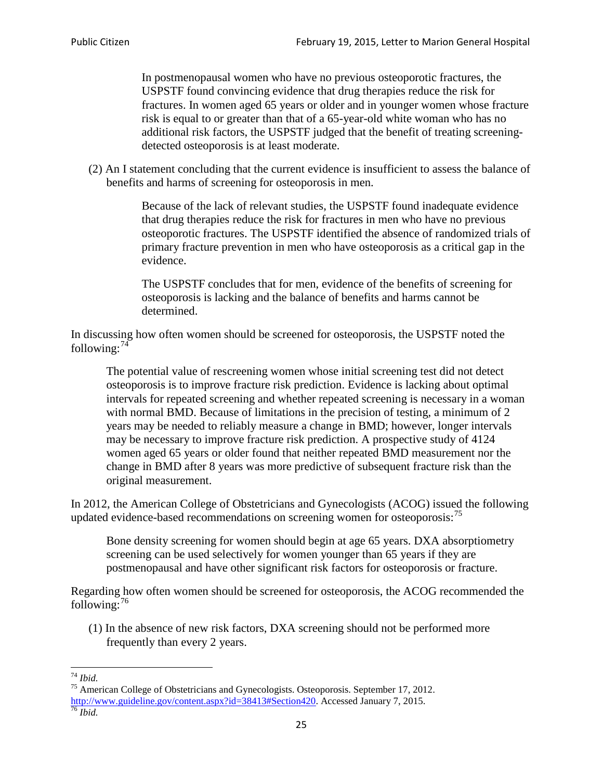In postmenopausal women who have no previous osteoporotic fractures, the USPSTF found convincing evidence that drug therapies reduce the risk for fractures. In women aged 65 years or older and in younger women whose fracture risk is equal to or greater than that of a 65-year-old white woman who has no additional risk factors, the USPSTF judged that the benefit of treating screeningdetected osteoporosis is at least moderate.

(2) An I statement concluding that the current evidence is insufficient to assess the balance of benefits and harms of screening for osteoporosis in men.

> Because of the lack of relevant studies, the USPSTF found inadequate evidence that drug therapies reduce the risk for fractures in men who have no previous osteoporotic fractures. The USPSTF identified the absence of randomized trials of primary fracture prevention in men who have osteoporosis as a critical gap in the evidence.

The USPSTF concludes that for men, evidence of the benefits of screening for osteoporosis is lacking and the balance of benefits and harms cannot be determined.

In discussing how often women should be screened for osteoporosis, the USPSTF noted the following: $74$ 

The potential value of rescreening women whose initial screening test did not detect osteoporosis is to improve fracture risk prediction. Evidence is lacking about optimal intervals for repeated screening and whether repeated screening is necessary in a woman with normal BMD. Because of limitations in the precision of testing, a minimum of 2 years may be needed to reliably measure a change in BMD; however, longer intervals may be necessary to improve fracture risk prediction. A prospective study of 4124 women aged 65 years or older found that neither repeated BMD measurement nor the change in BMD after 8 years was more predictive of subsequent fracture risk than the original measurement.

In 2012, the American College of Obstetricians and Gynecologists (ACOG) issued the following updated evidence-based recommendations on screening women for osteoporosis:<sup>[75](#page-24-1)</sup>

Bone density screening for women should begin at age 65 years. DXA absorptiometry screening can be used selectively for women younger than 65 years if they are postmenopausal and have other significant risk factors for osteoporosis or fracture.

Regarding how often women should be screened for osteoporosis, the ACOG recommended the following: $^{76}$  $^{76}$  $^{76}$ 

(1) In the absence of new risk factors, DXA screening should not be performed more frequently than every 2 years.

<span id="page-24-2"></span><span id="page-24-1"></span><span id="page-24-0"></span><sup>74</sup> *Ibid.* <sup>75</sup> American College of Obstetricians and Gynecologists. Osteoporosis. September 17, 2012. [http://www.guideline.gov/content.aspx?id=38413#Section420.](http://www.guideline.gov/content.aspx?id=38413#Section420) Accessed January 7, 2015.<br><sup>76</sup> *Ibid.*